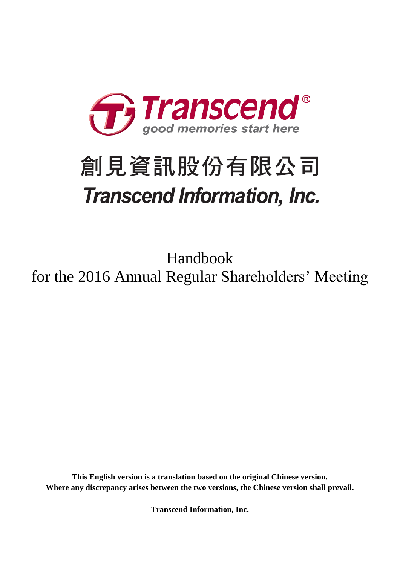

# 創見資訊股份有限公司 **Transcend Information, Inc.**

Handbook for the 2016 Annual Regular Shareholders' Meeting

**This English version is a translation based on the original Chinese version. Where any discrepancy arises between the two versions, the Chinese version shall prevail.**

**Transcend Information, Inc.**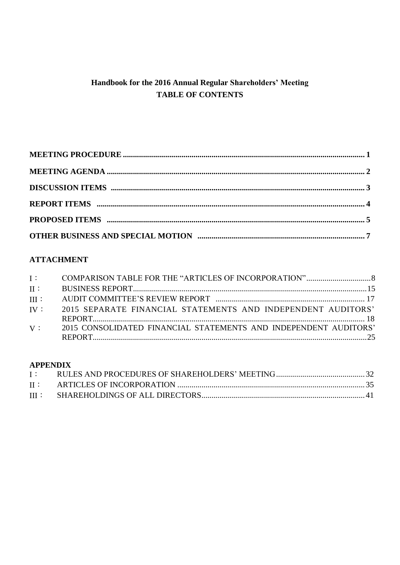# Handbook for the 2016 Annual Regular Shareholders' Meeting **TABLE OF CONTENTS**

# **ATTACHMENT**

| $II$ :  |                                                                  |  |
|---------|------------------------------------------------------------------|--|
| $III$ : |                                                                  |  |
| IV:     | 2015 SEPARATE FINANCIAL STATEMENTS AND INDEPENDENT AUDITORS'     |  |
|         |                                                                  |  |
| V:      | 2015 CONSOLIDATED FINANCIAL STATEMENTS AND INDEPENDENT AUDITORS' |  |
|         |                                                                  |  |

## **APPENDIX**

| $\mathbf{I}$ : |  |
|----------------|--|
|                |  |
|                |  |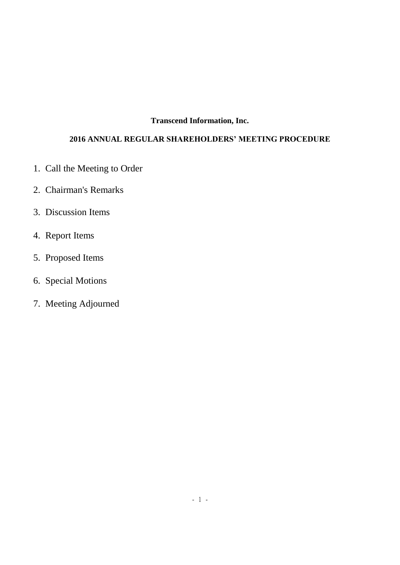## **Transcend Information, Inc.**

# **2016 ANNUAL REGULAR SHAREHOLDERS' MEETING PROCEDURE**

- 1. Call the Meeting to Order
- 2. Chairman's Remarks
- 3. Discussion Items
- 4. Report Items
- 5. Proposed Items
- 6. Special Motions
- 7. Meeting Adjourned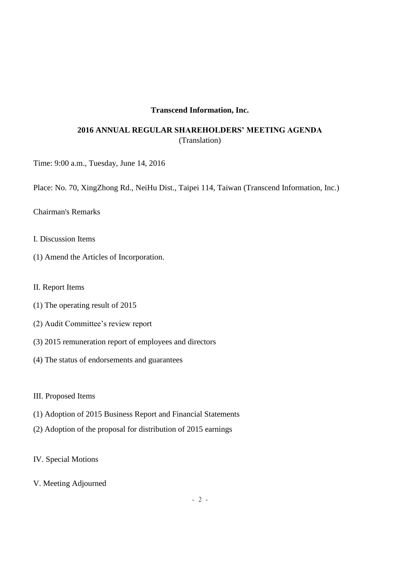## **Transcend Information, Inc.**

# **2016 ANNUAL REGULAR SHAREHOLDERS' MEETING AGENDA** (Translation)

Time: 9:00 a.m., Tuesday, June 14, 2016

Place: No. 70, XingZhong Rd., NeiHu Dist., Taipei 114, Taiwan (Transcend Information, Inc.)

Chairman's Remarks

- I. Discussion Items
- (1) Amend the Articles of Incorporation.
- II. Report Items
- (1) The operating result of 2015
- (2) Audit Committee's review report
- (3) 2015 remuneration report of employees and directors
- (4) The status of endorsements and guarantees
- III. Proposed Items
- (1) Adoption of 2015 Business Report and Financial Statements
- (2) Adoption of the proposal for distribution of 2015 earnings
- IV. Special Motions
- V. Meeting Adjourned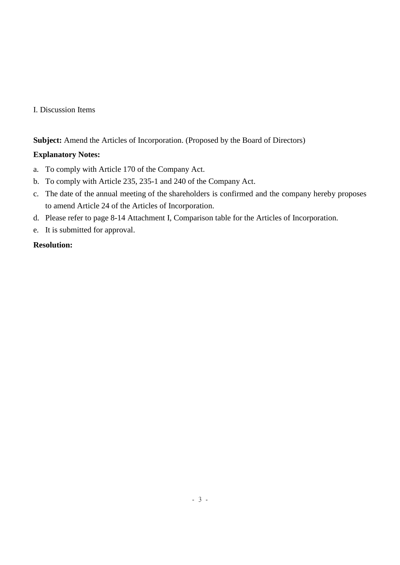## I. Discussion Items

**Subject:** Amend the Articles of Incorporation. (Proposed by the Board of Directors)

## **Explanatory Notes:**

- a. To comply with Article 170 of the Company Act.
- b. To comply with Article 235, 235-1 and 240 of the Company Act.
- c. The date of the annual meeting of the shareholders is confirmed and the company hereby proposes to amend Article 24 of the Articles of Incorporation.
- d. Please refer to page 8-14 Attachment I, Comparison table for the Articles of Incorporation.
- e. It is submitted for approval.

## **Resolution:**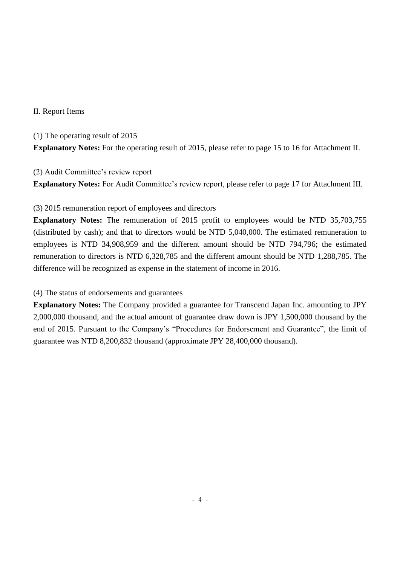## II. Report Items

(1) The operating result of 2015 **Explanatory Notes:** For the operating result of 2015, please refer to page 15 to 16 for Attachment II.

(2) Audit Committee's review report

**Explanatory Notes:** For Audit Committee's review report, please refer to page 17 for Attachment III.

## (3) 2015 remuneration report of employees and directors

**Explanatory Notes:** The remuneration of 2015 profit to employees would be NTD 35,703,755 (distributed by cash); and that to directors would be NTD 5,040,000. The estimated remuneration to employees is NTD 34,908,959 and the different amount should be NTD 794,796; the estimated remuneration to directors is NTD 6,328,785 and the different amount should be NTD 1,288,785. The difference will be recognized as expense in the statement of income in 2016.

(4) The status of endorsements and guarantees

**Explanatory Notes:** The Company provided a guarantee for Transcend Japan Inc. amounting to JPY 2,000,000 thousand, and the actual amount of guarantee draw down is JPY 1,500,000 thousand by the end of 2015. Pursuant to the Company's "Procedures for Endorsement and Guarantee", the limit of guarantee was NTD 8,200,832 thousand (approximate JPY 28,400,000 thousand).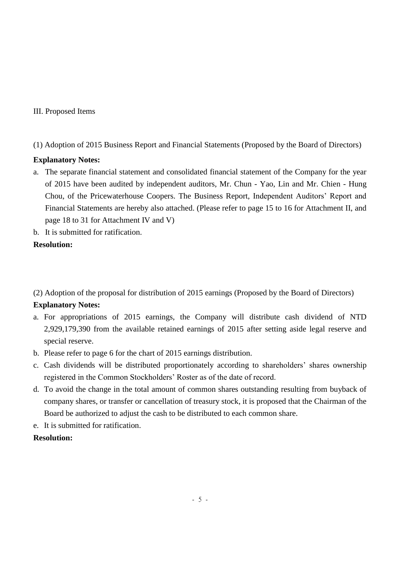## III. Proposed Items

## (1) Adoption of 2015 Business Report and Financial Statements (Proposed by the Board of Directors)

## **Explanatory Notes:**

- a. The separate financial statement and consolidated financial statement of the Company for the year of 2015 have been audited by independent auditors, Mr. Chun - Yao, Lin and Mr. Chien - Hung Chou, of the Pricewaterhouse Coopers. The Business Report, Independent Auditors' Report and Financial Statements are hereby also attached. (Please refer to page 15 to 16 for Attachment II, and page 18 to 31 for Attachment IV and V)
- b. It is submitted for ratification.

## **Resolution:**

(2) Adoption of the proposal for distribution of 2015 earnings (Proposed by the Board of Directors)

## **Explanatory Notes:**

- a. For appropriations of 2015 earnings, the Company will distribute cash dividend of NTD 2,929,179,390 from the available retained earnings of 2015 after setting aside legal reserve and special reserve.
- b. Please refer to page 6 for the chart of 2015 earnings distribution.
- c. Cash dividends will be distributed proportionately according to shareholders' shares ownership registered in the Common Stockholders' Roster as of the date of record.
- d. To avoid the change in the total amount of common shares outstanding resulting from buyback of company shares, or transfer or cancellation of treasury stock, it is proposed that the Chairman of the Board be authorized to adjust the cash to be distributed to each common share.
- e. It is submitted for ratification.

## **Resolution:**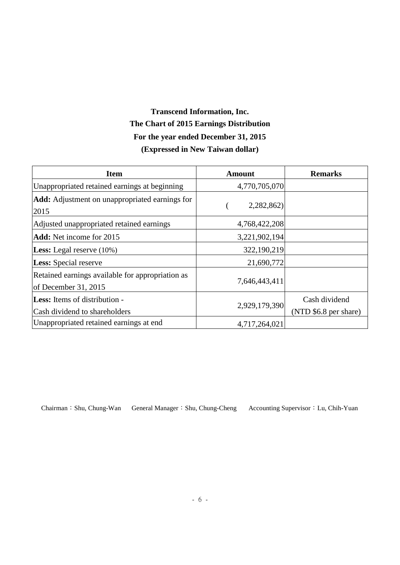# **Transcend Information, Inc. The Chart of 2015 Earnings Distribution For the year ended December 31, 2015 (Expressed in New Taiwan dollar)**

| <b>Item</b>                                                              | Amount        | <b>Remarks</b>        |
|--------------------------------------------------------------------------|---------------|-----------------------|
| Unappropriated retained earnings at beginning                            | 4,770,705,070 |                       |
| <b>Add:</b> Adjustment on unappropriated earnings for<br>2015            | 2,282,862)    |                       |
| Adjusted unappropriated retained earnings                                | 4,768,422,208 |                       |
| <b>Add:</b> Net income for 2015                                          | 3,221,902,194 |                       |
| <b>Less:</b> Legal reserve $(10\%)$                                      | 322,190,219   |                       |
| <b>Less:</b> Special reserve                                             | 21,690,772    |                       |
| Retained earnings available for appropriation as<br>of December 31, 2015 | 7,646,443,411 |                       |
| <b>Less:</b> Items of distribution -                                     |               | Cash dividend         |
| Cash dividend to shareholders                                            | 2,929,179,390 | (NTD \$6.8 per share) |
| Unappropriated retained earnings at end                                  | 4,717,264,021 |                       |

Chairman:Shu, Chung-Wan General Manager:Shu, Chung-Cheng Accounting Supervisor:Lu, Chih-Yuan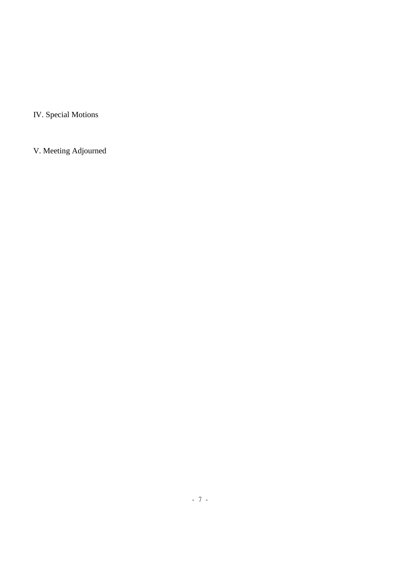IV. Special Motions

V. Meeting Adjourned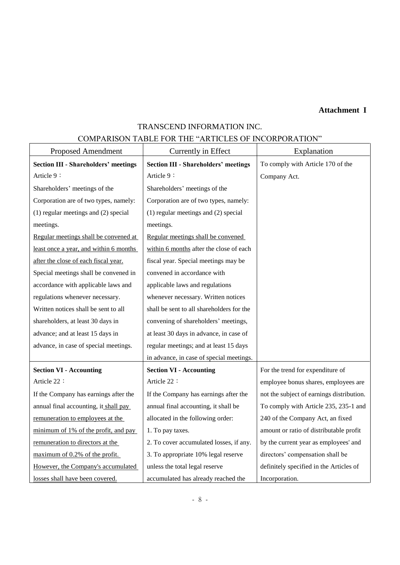# **Attachment I**

# TRANSCEND INFORMATION INC.

## COMPARISON TABLE FOR THE "ARTICLES OF INCORPORATION"

| <b>Proposed Amendment</b>                   | Currently in Effect                         | Explanation                               |  |
|---------------------------------------------|---------------------------------------------|-------------------------------------------|--|
| <b>Section III - Shareholders' meetings</b> | <b>Section III - Shareholders' meetings</b> | To comply with Article 170 of the         |  |
| Article 9:                                  | Article 9:                                  | Company Act.                              |  |
| Shareholders' meetings of the               | Shareholders' meetings of the               |                                           |  |
| Corporation are of two types, namely:       | Corporation are of two types, namely:       |                                           |  |
| $(1)$ regular meetings and $(2)$ special    | $(1)$ regular meetings and $(2)$ special    |                                           |  |
| meetings.                                   | meetings.                                   |                                           |  |
| Regular meetings shall be convened at       | Regular meetings shall be convened          |                                           |  |
| least once a year, and within 6 months      | within 6 months after the close of each     |                                           |  |
| after the close of each fiscal year.        | fiscal year. Special meetings may be        |                                           |  |
| Special meetings shall be convened in       | convened in accordance with                 |                                           |  |
| accordance with applicable laws and         | applicable laws and regulations             |                                           |  |
| regulations whenever necessary.             | whenever necessary. Written notices         |                                           |  |
| Written notices shall be sent to all        | shall be sent to all shareholders for the   |                                           |  |
| shareholders, at least 30 days in           | convening of shareholders' meetings,        |                                           |  |
| advance; and at least 15 days in            | at least 30 days in advance, in case of     |                                           |  |
| advance, in case of special meetings.       | regular meetings; and at least 15 days      |                                           |  |
|                                             | in advance, in case of special meetings.    |                                           |  |
| <b>Section VI - Accounting</b>              | <b>Section VI - Accounting</b>              | For the trend for expenditure of          |  |
| Article 22:                                 | Article 22:                                 | employee bonus shares, employees are      |  |
| If the Company has earnings after the       | If the Company has earnings after the       | not the subject of earnings distribution. |  |
| annual final accounting, it shall pay       | annual final accounting, it shall be        | To comply with Article 235, 235-1 and     |  |
| remuneration to employees at the            | allocated in the following order:           | 240 of the Company Act, an fixed          |  |
| minimum of 1% of the profit, and pay        | 1. To pay taxes.                            | amount or ratio of distributable profit   |  |
| remuneration to directors at the            | 2. To cover accumulated losses, if any.     | by the current year as employees' and     |  |
| maximum of 0.2% of the profit.              | 3. To appropriate 10% legal reserve         | directors' compensation shall be          |  |
| However, the Company's accumulated          | unless the total legal reserve              | definitely specified in the Articles of   |  |
| losses shall have been covered.             | accumulated has already reached the         | Incorporation.                            |  |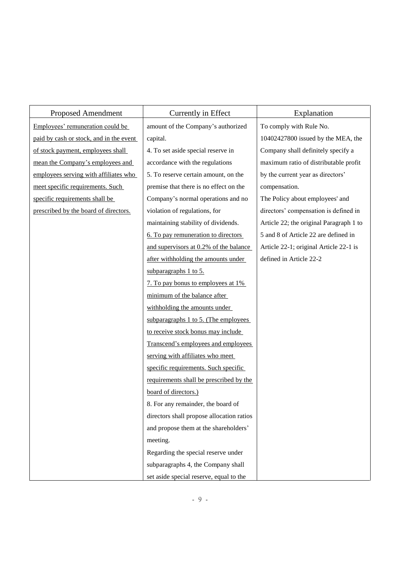| <b>Proposed Amendment</b>               | Currently in Effect                       | Explanation                             |
|-----------------------------------------|-------------------------------------------|-----------------------------------------|
| Employees' remuneration could be        | amount of the Company's authorized        | To comply with Rule No.                 |
| paid by cash or stock, and in the event | capital.                                  | 10402427800 issued by the MEA, the      |
| of stock payment, employees shall       | 4. To set aside special reserve in        | Company shall definitely specify a      |
| mean the Company's employees and        | accordance with the regulations           | maximum ratio of distributable profit   |
| employees serving with affiliates who   | 5. To reserve certain amount, on the      | by the current year as directors'       |
| meet specific requirements. Such        | premise that there is no effect on the    | compensation.                           |
| specific requirements shall be          | Company's normal operations and no        | The Policy about employees' and         |
| prescribed by the board of directors.   | violation of regulations, for             | directors' compensation is defined in   |
|                                         | maintaining stability of dividends.       | Article 22; the original Paragraph 1 to |
|                                         | 6. To pay remuneration to directors       | 5 and 8 of Article 22 are defined in    |
|                                         | and supervisors at 0.2% of the balance    | Article 22-1; original Article 22-1 is  |
|                                         | after withholding the amounts under       | defined in Article 22-2                 |
|                                         | subparagraphs 1 to 5.                     |                                         |
|                                         | 7. To pay bonus to employees at 1%        |                                         |
|                                         | minimum of the balance after              |                                         |
|                                         | withholding the amounts under             |                                         |
|                                         | subparagraphs 1 to 5. (The employees      |                                         |
|                                         | to receive stock bonus may include        |                                         |
|                                         | Transcend's employees and employees       |                                         |
|                                         | serving with affiliates who meet          |                                         |
|                                         | specific requirements. Such specific      |                                         |
|                                         | requirements shall be prescribed by the   |                                         |
|                                         | board of directors.)                      |                                         |
|                                         | 8. For any remainder, the board of        |                                         |
|                                         | directors shall propose allocation ratios |                                         |
|                                         | and propose them at the shareholders'     |                                         |
|                                         | meeting.                                  |                                         |
|                                         | Regarding the special reserve under       |                                         |
|                                         | subparagraphs 4, the Company shall        |                                         |
|                                         | set aside special reserve, equal to the   |                                         |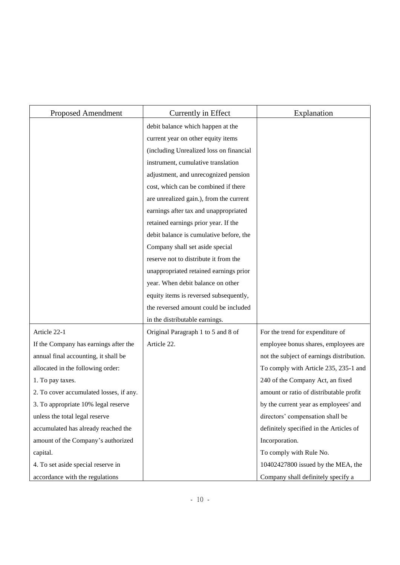| <b>Proposed Amendment</b>               | Currently in Effect                     | Explanation                               |
|-----------------------------------------|-----------------------------------------|-------------------------------------------|
|                                         | debit balance which happen at the       |                                           |
|                                         | current year on other equity items      |                                           |
|                                         | (including Unrealized loss on financial |                                           |
|                                         | instrument, cumulative translation      |                                           |
|                                         | adjustment, and unrecognized pension    |                                           |
|                                         | cost, which can be combined if there    |                                           |
|                                         | are unrealized gain.), from the current |                                           |
|                                         | earnings after tax and unappropriated   |                                           |
|                                         | retained earnings prior year. If the    |                                           |
|                                         | debit balance is cumulative before, the |                                           |
|                                         | Company shall set aside special         |                                           |
|                                         | reserve not to distribute it from the   |                                           |
|                                         | unappropriated retained earnings prior  |                                           |
|                                         | year. When debit balance on other       |                                           |
|                                         | equity items is reversed subsequently,  |                                           |
|                                         | the reversed amount could be included   |                                           |
|                                         | in the distributable earnings.          |                                           |
| Article 22-1                            | Original Paragraph 1 to 5 and 8 of      | For the trend for expenditure of          |
| If the Company has earnings after the   | Article 22.                             | employee bonus shares, employees are      |
| annual final accounting, it shall be    |                                         | not the subject of earnings distribution. |
| allocated in the following order:       |                                         | To comply with Article 235, 235-1 and     |
| 1. To pay taxes.                        |                                         | 240 of the Company Act, an fixed          |
| 2. To cover accumulated losses, if any. |                                         | amount or ratio of distributable profit   |
| 3. To appropriate 10% legal reserve     |                                         | by the current year as employees' and     |
| unless the total legal reserve          |                                         | directors' compensation shall be          |
| accumulated has already reached the     |                                         | definitely specified in the Articles of   |
| amount of the Company's authorized      |                                         | Incorporation.                            |
| capital.                                |                                         | To comply with Rule No.                   |
| 4. To set aside special reserve in      |                                         | 10402427800 issued by the MEA, the        |
| accordance with the regulations         |                                         | Company shall definitely specify a        |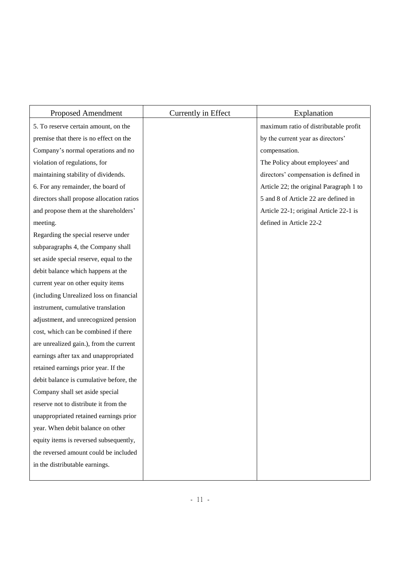| <b>Proposed Amendment</b>                 | Currently in Effect | Explanation                             |
|-------------------------------------------|---------------------|-----------------------------------------|
| 5. To reserve certain amount, on the      |                     | maximum ratio of distributable profit   |
| premise that there is no effect on the    |                     | by the current year as directors'       |
| Company's normal operations and no        |                     | compensation.                           |
| violation of regulations, for             |                     | The Policy about employees' and         |
| maintaining stability of dividends.       |                     | directors' compensation is defined in   |
| 6. For any remainder, the board of        |                     | Article 22; the original Paragraph 1 to |
| directors shall propose allocation ratios |                     | 5 and 8 of Article 22 are defined in    |
| and propose them at the shareholders'     |                     | Article 22-1; original Article 22-1 is  |
| meeting.                                  |                     | defined in Article 22-2                 |
| Regarding the special reserve under       |                     |                                         |
| subparagraphs 4, the Company shall        |                     |                                         |
| set aside special reserve, equal to the   |                     |                                         |
| debit balance which happens at the        |                     |                                         |
| current year on other equity items        |                     |                                         |
| (including Unrealized loss on financial   |                     |                                         |
| instrument, cumulative translation        |                     |                                         |
| adjustment, and unrecognized pension      |                     |                                         |
| cost, which can be combined if there      |                     |                                         |
| are unrealized gain.), from the current   |                     |                                         |
| earnings after tax and unappropriated     |                     |                                         |
| retained earnings prior year. If the      |                     |                                         |
| debit balance is cumulative before, the   |                     |                                         |
| Company shall set aside special           |                     |                                         |
| reserve not to distribute it from the     |                     |                                         |
| unappropriated retained earnings prior    |                     |                                         |
| year. When debit balance on other         |                     |                                         |
| equity items is reversed subsequently,    |                     |                                         |
| the reversed amount could be included     |                     |                                         |
| in the distributable earnings.            |                     |                                         |
|                                           |                     |                                         |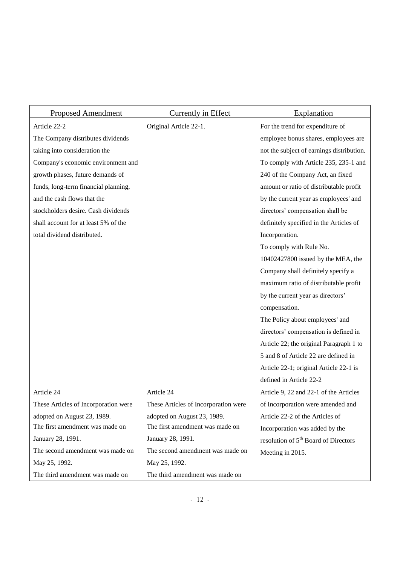| <b>Proposed Amendment</b>            | Currently in Effect                  | Explanation                                      |
|--------------------------------------|--------------------------------------|--------------------------------------------------|
| Article 22-2                         | Original Article 22-1.               | For the trend for expenditure of                 |
| The Company distributes dividends    |                                      | employee bonus shares, employees are             |
| taking into consideration the        |                                      | not the subject of earnings distribution.        |
| Company's economic environment and   |                                      | To comply with Article 235, 235-1 and            |
| growth phases, future demands of     |                                      | 240 of the Company Act, an fixed                 |
| funds, long-term financial planning, |                                      | amount or ratio of distributable profit          |
| and the cash flows that the          |                                      | by the current year as employees' and            |
| stockholders desire. Cash dividends  |                                      | directors' compensation shall be                 |
| shall account for at least 5% of the |                                      | definitely specified in the Articles of          |
| total dividend distributed.          |                                      | Incorporation.                                   |
|                                      |                                      | To comply with Rule No.                          |
|                                      |                                      | 10402427800 issued by the MEA, the               |
|                                      |                                      | Company shall definitely specify a               |
|                                      |                                      | maximum ratio of distributable profit            |
|                                      |                                      | by the current year as directors'                |
|                                      |                                      | compensation.                                    |
|                                      |                                      | The Policy about employees' and                  |
|                                      |                                      | directors' compensation is defined in            |
|                                      |                                      | Article 22; the original Paragraph 1 to          |
|                                      |                                      | 5 and 8 of Article 22 are defined in             |
|                                      |                                      | Article 22-1; original Article 22-1 is           |
|                                      |                                      | defined in Article 22-2                          |
| Article 24                           | Article 24                           | Article 9, 22 and 22-1 of the Articles           |
| These Articles of Incorporation were | These Articles of Incorporation were | of Incorporation were amended and                |
| adopted on August 23, 1989.          | adopted on August 23, 1989.          | Article 22-2 of the Articles of                  |
| The first amendment was made on      | The first amendment was made on      | Incorporation was added by the                   |
| January 28, 1991.                    | January 28, 1991.                    | resolution of 5 <sup>th</sup> Board of Directors |
| The second amendment was made on     | The second amendment was made on     | Meeting in 2015.                                 |
| May 25, 1992.                        | May 25, 1992.                        |                                                  |
| The third amendment was made on      | The third amendment was made on      |                                                  |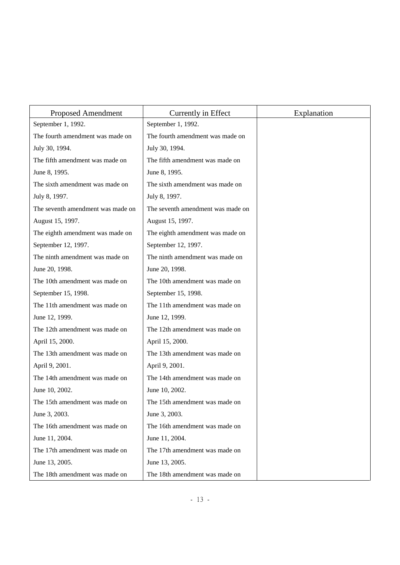| <b>Proposed Amendment</b>         | Currently in Effect               | Explanation |
|-----------------------------------|-----------------------------------|-------------|
| September 1, 1992.                | September 1, 1992.                |             |
| The fourth amendment was made on  | The fourth amendment was made on  |             |
| July 30, 1994.                    | July 30, 1994.                    |             |
| The fifth amendment was made on   | The fifth amendment was made on   |             |
| June 8, 1995.                     | June 8, 1995.                     |             |
| The sixth amendment was made on   | The sixth amendment was made on   |             |
| July 8, 1997.                     | July 8, 1997.                     |             |
| The seventh amendment was made on | The seventh amendment was made on |             |
| August 15, 1997.                  | August 15, 1997.                  |             |
| The eighth amendment was made on  | The eighth amendment was made on  |             |
| September 12, 1997.               | September 12, 1997.               |             |
| The ninth amendment was made on   | The ninth amendment was made on   |             |
| June 20, 1998.                    | June 20, 1998.                    |             |
| The 10th amendment was made on    | The 10th amendment was made on    |             |
| September 15, 1998.               | September 15, 1998.               |             |
| The 11th amendment was made on    | The 11th amendment was made on    |             |
| June 12, 1999.                    | June 12, 1999.                    |             |
| The 12th amendment was made on    | The 12th amendment was made on    |             |
| April 15, 2000.                   | April 15, 2000.                   |             |
| The 13th amendment was made on    | The 13th amendment was made on    |             |
| April 9, 2001.                    | April 9, 2001.                    |             |
| The 14th amendment was made on    | The 14th amendment was made on    |             |
| June 10, 2002.                    | June 10, 2002.                    |             |
| The 15th amendment was made on    | The 15th amendment was made on    |             |
| June 3, 2003.                     | June 3, 2003.                     |             |
| The 16th amendment was made on    | The 16th amendment was made on    |             |
| June 11, 2004.                    | June 11, 2004.                    |             |
| The 17th amendment was made on    | The 17th amendment was made on    |             |
| June 13, 2005.                    | June 13, 2005.                    |             |
| The 18th amendment was made on    | The 18th amendment was made on    |             |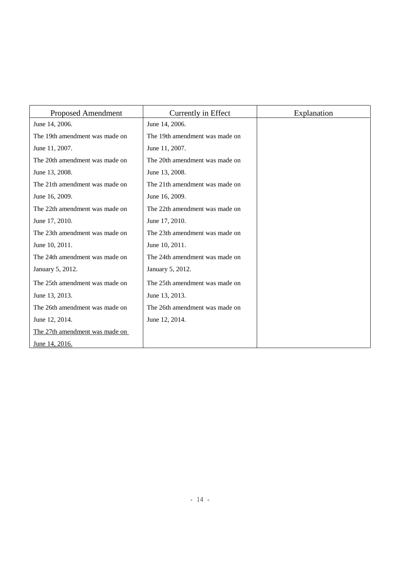| <b>Proposed Amendment</b>      | Currently in Effect            | Explanation |
|--------------------------------|--------------------------------|-------------|
| June 14, 2006.                 | June 14, 2006.                 |             |
| The 19th amendment was made on | The 19th amendment was made on |             |
| June 11, 2007.                 | June 11, 2007.                 |             |
| The 20th amendment was made on | The 20th amendment was made on |             |
| June 13, 2008.                 | June 13, 2008.                 |             |
| The 21th amendment was made on | The 21th amendment was made on |             |
| June 16, 2009.                 | June 16, 2009.                 |             |
| The 22th amendment was made on | The 22th amendment was made on |             |
| June 17, 2010.                 | June 17, 2010.                 |             |
| The 23th amendment was made on | The 23th amendment was made on |             |
| June 10, 2011.                 | June 10, 2011.                 |             |
| The 24th amendment was made on | The 24th amendment was made on |             |
| January 5, 2012.               | January 5, 2012.               |             |
| The 25th amendment was made on | The 25th amendment was made on |             |
| June 13, 2013.                 | June 13, 2013.                 |             |
| The 26th amendment was made on | The 26th amendment was made on |             |
| June 12, 2014.                 | June 12, 2014.                 |             |
| The 27th amendment was made on |                                |             |
| June 14, 2016.                 |                                |             |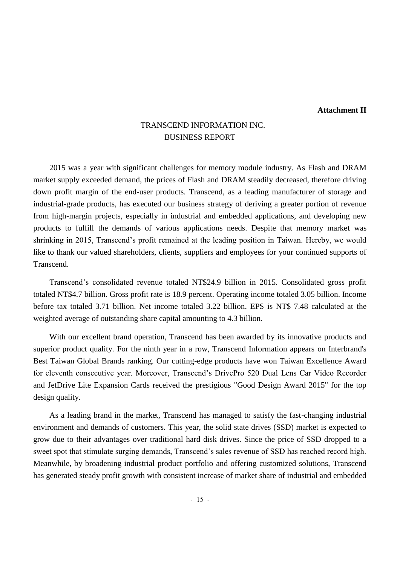## **Attachment II**

# TRANSCEND INFORMATION INC. BUSINESS REPORT

2015 was a year with significant challenges for memory module industry. As Flash and DRAM market supply exceeded demand, the prices of Flash and DRAM steadily decreased, therefore driving down profit margin of the end-user products. Transcend, as a leading manufacturer of storage and industrial-grade products, has executed our business strategy of deriving a greater portion of revenue from high-margin projects, especially in industrial and embedded applications, and developing new products to fulfill the demands of various applications needs. Despite that memory market was shrinking in 2015, Transcend's profit remained at the leading position in Taiwan. Hereby, we would like to thank our valued shareholders, clients, suppliers and employees for your continued supports of Transcend.

Transcend's consolidated revenue totaled NT\$24.9 billion in 2015. Consolidated gross profit totaled NT\$4.7 billion. Gross profit rate is 18.9 percent. Operating income totaled 3.05 billion. Income before tax totaled 3.71 billion. Net income totaled 3.22 billion. EPS is NT\$ 7.48 calculated at the weighted average of outstanding share capital amounting to 4.3 billion.

With our excellent brand operation, Transcend has been awarded by its innovative products and superior product quality. For the ninth year in a row, Transcend Information appears on Interbrand's Best Taiwan Global Brands ranking. Our cutting-edge products have won Taiwan Excellence Award for eleventh consecutive year. Moreover, Transcend's DrivePro 520 Dual Lens Car Video Recorder and JetDrive Lite Expansion Cards received the prestigious "Good Design Award 2015" for the top design quality.

As a leading brand in the market, Transcend has managed to satisfy the fast-changing industrial environment and demands of customers. This year, the solid state drives (SSD) market is expected to grow due to their advantages over traditional hard disk drives. Since the price of SSD dropped to a sweet spot that stimulate surging demands, Transcend's sales revenue of SSD has reached record high. Meanwhile, by broadening industrial product portfolio and offering customized solutions, Transcend has generated steady profit growth with consistent increase of market share of industrial and embedded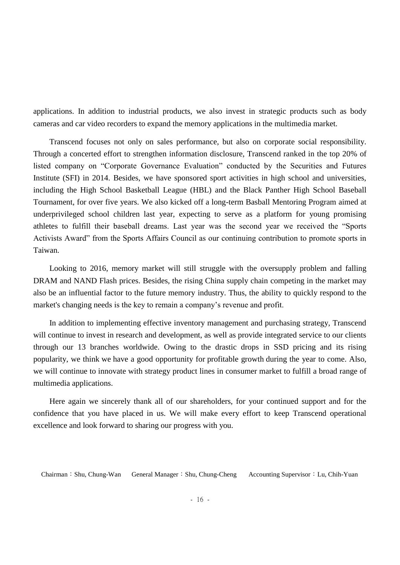applications. In addition to industrial products, we also invest in strategic products such as body cameras and car video recorders to expand the memory applications in the multimedia market.

Transcend focuses not only on sales performance, but also on corporate social responsibility. Through a concerted effort to strengthen information disclosure, Transcend ranked in the top 20% of listed company on "Corporate Governance Evaluation" conducted by the Securities and Futures Institute (SFI) in 2014. Besides, we have sponsored sport activities in high school and universities, including the High School Basketball League (HBL) and the Black Panther High School Baseball Tournament, for over five years. We also kicked off a long-term Basball Mentoring Program aimed at underprivileged school children last year, expecting to serve as a platform for young promising athletes to fulfill their baseball dreams. Last year was the second year we received the "Sports Activists Award" from the Sports Affairs Council as our continuing contribution to promote sports in Taiwan.

Looking to 2016, memory market will still struggle with the oversupply problem and falling DRAM and NAND Flash prices. Besides, the rising China supply chain competing in the market may also be an influential factor to the future memory industry. Thus, the ability to quickly respond to the market's changing needs is the key to remain a company's revenue and profit.

In addition to implementing effective inventory management and purchasing strategy, Transcend will continue to invest in research and development, as well as provide integrated service to our clients through our 13 branches worldwide. Owing to the drastic drops in SSD pricing and its rising popularity, we think we have a good opportunity for profitable growth during the year to come. Also, we will continue to innovate with strategy product lines in consumer market to fulfill a broad range of multimedia applications.

Here again we sincerely thank all of our shareholders, for your continued support and for the confidence that you have placed in us. We will make every effort to keep Transcend operational excellence and look forward to sharing our progress with you.

Chairman:Shu, Chung-Wan General Manager:Shu, Chung-Cheng Accounting Supervisor:Lu, Chih-Yuan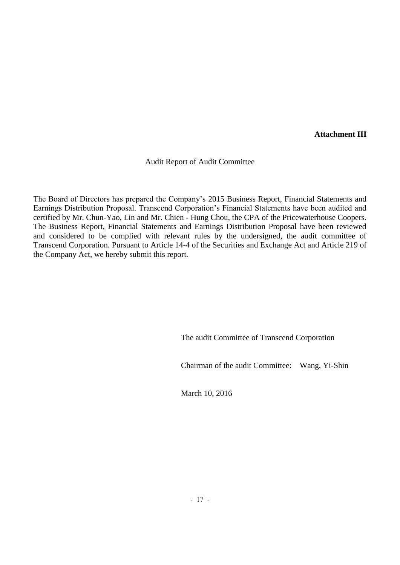**Attachment III**

Audit Report of Audit Committee

The Board of Directors has prepared the Company's 2015 Business Report, Financial Statements and Earnings Distribution Proposal. Transcend Corporation's Financial Statements have been audited and certified by Mr. Chun-Yao, Lin and Mr. Chien - Hung Chou, the CPA of the Pricewaterhouse Coopers. The Business Report, Financial Statements and Earnings Distribution Proposal have been reviewed and considered to be complied with relevant rules by the undersigned, the audit committee of Transcend Corporation. Pursuant to Article 14-4 of the Securities and Exchange Act and Article 219 of the Company Act, we hereby submit this report.

The audit Committee of Transcend Corporation

Chairman of the audit Committee: Wang, Yi-Shin

March 10, 2016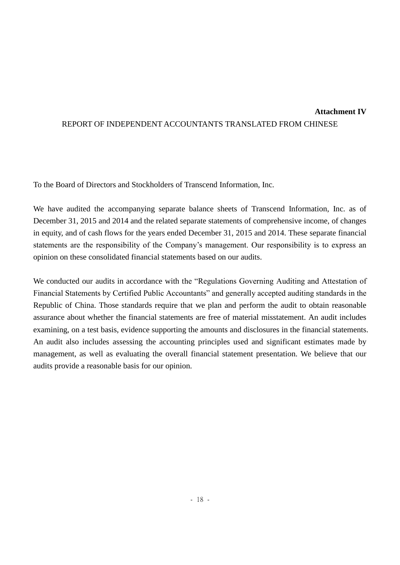## **Attachment IV**

## REPORT OF INDEPENDENT ACCOUNTANTS TRANSLATED FROM CHINESE

To the Board of Directors and Stockholders of Transcend Information, Inc.

We have audited the accompanying separate balance sheets of Transcend Information, Inc. as of December 31, 2015 and 2014 and the related separate statements of comprehensive income, of changes in equity, and of cash flows for the years ended December 31, 2015 and 2014. These separate financial statements are the responsibility of the Company's management. Our responsibility is to express an opinion on these consolidated financial statements based on our audits.

We conducted our audits in accordance with the "Regulations Governing Auditing and Attestation of Financial Statements by Certified Public Accountants" and generally accepted auditing standards in the Republic of China. Those standards require that we plan and perform the audit to obtain reasonable assurance about whether the financial statements are free of material misstatement. An audit includes examining, on a test basis, evidence supporting the amounts and disclosures in the financial statements. An audit also includes assessing the accounting principles used and significant estimates made by management, as well as evaluating the overall financial statement presentation. We believe that our audits provide a reasonable basis for our opinion.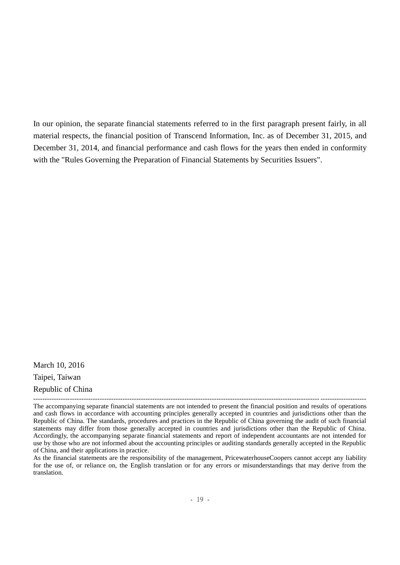In our opinion, the separate financial statements referred to in the first paragraph present fairly, in all material respects, the financial position of Transcend Information, Inc. as of December 31, 2015, and December 31, 2014, and financial performance and cash flows for the years then ended in conformity with the "Rules Governing the Preparation of Financial Statements by Securities Issuers".

March 10, 2016 Taipei, Taiwan Republic of China

<sup>-----------------------------------------------------------------------------------------------------------------------------</sup> -------------------- The accompanying separate financial statements are not intended to present the financial position and results of operations and cash flows in accordance with accounting principles generally accepted in countries and jurisdictions other than the Republic of China. The standards, procedures and practices in the Republic of China governing the audit of such financial statements may differ from those generally accepted in countries and jurisdictions other than the Republic of China. Accordingly, the accompanying separate financial statements and report of independent accountants are not intended for use by those who are not informed about the accounting principles or auditing standards generally accepted in the Republic of China, and their applications in practice.

As the financial statements are the responsibility of the management, PricewaterhouseCoopers cannot accept any liability for the use of, or reliance on, the English translation or for any errors or misunderstandings that may derive from the translation.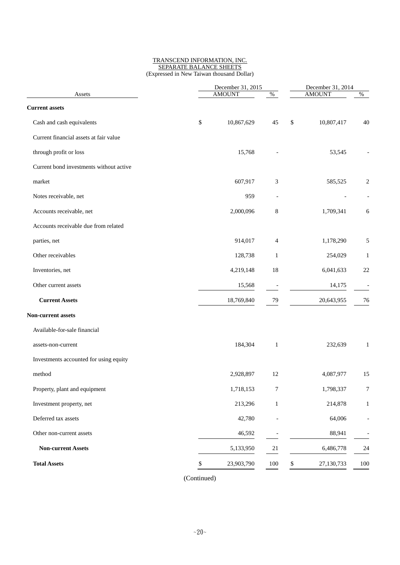#### TRANSCEND INFORMATION, INC. SEPARATE BALANCE SHEETS (Expressed in New Taiwan thousand Dollar)

|                                         | December 31, 2015<br><b>AMOUNT</b><br>$\%$ |            |                          | December 31, 2014<br><b>AMOUNT</b><br>$\%$ |            |                          |
|-----------------------------------------|--------------------------------------------|------------|--------------------------|--------------------------------------------|------------|--------------------------|
| Assets                                  |                                            |            |                          |                                            |            |                          |
| <b>Current assets</b>                   |                                            |            |                          |                                            |            |                          |
| Cash and cash equivalents               | \$                                         | 10,867,629 | 45                       | \$                                         | 10,807,417 | 40                       |
| Current financial assets at fair value  |                                            |            |                          |                                            |            |                          |
| through profit or loss                  |                                            | 15,768     |                          |                                            | 53,545     |                          |
| Current bond investments without active |                                            |            |                          |                                            |            |                          |
| market                                  |                                            | 607,917    | 3                        |                                            | 585,525    | $\overline{c}$           |
| Notes receivable, net                   |                                            | 959        | $\overline{\phantom{a}}$ |                                            |            |                          |
| Accounts receivable, net                |                                            | 2,000,096  | 8                        |                                            | 1,709,341  | 6                        |
| Accounts receivable due from related    |                                            |            |                          |                                            |            |                          |
| parties, net                            |                                            | 914,017    | 4                        |                                            | 1,178,290  | 5                        |
| Other receivables                       |                                            | 128,738    | $\mathbf{1}$             |                                            | 254,029    | $\mathbf{1}$             |
| Inventories, net                        |                                            | 4,219,148  | 18                       |                                            | 6,041,633  | 22                       |
| Other current assets                    |                                            | 15,568     | $\overline{\phantom{a}}$ |                                            | 14,175     | $\overline{\phantom{a}}$ |
| <b>Current Assets</b>                   |                                            | 18,769,840 | 79                       |                                            | 20,643,955 | 76                       |
| Non-current assets                      |                                            |            |                          |                                            |            |                          |
| Available-for-sale financial            |                                            |            |                          |                                            |            |                          |
| assets-non-current                      |                                            | 184,304    | $\mathbf{1}$             |                                            | 232,639    | $\mathbf{1}$             |
| Investments accounted for using equity  |                                            |            |                          |                                            |            |                          |
| method                                  |                                            | 2,928,897  | 12                       |                                            | 4,087,977  | 15                       |
| Property, plant and equipment           |                                            | 1,718,153  | $\boldsymbol{7}$         |                                            | 1,798,337  | 7                        |
| Investment property, net                |                                            | 213,296    | $\,1$                    |                                            | 214,878    | $\mathbf{1}$             |
| Deferred tax assets                     |                                            | 42,780     |                          |                                            | 64,006     |                          |
| Other non-current assets                |                                            | 46,592     |                          |                                            | 88,941     |                          |
| <b>Non-current Assets</b>               |                                            | 5,133,950  | $21\,$                   |                                            | 6,486,778  | 24                       |
| <b>Total Assets</b>                     | \$                                         | 23,903,790 | 100                      | \$                                         | 27,130,733 | 100                      |
|                                         |                                            |            |                          |                                            |            |                          |

(Continued)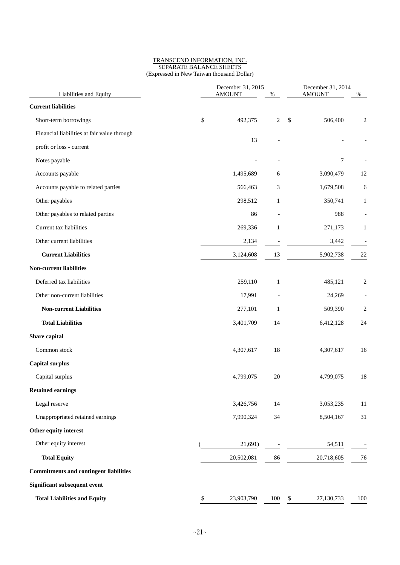#### TRANSCEND INFORMATION, INC. SEPARATE BALANCE SHEETS (Expressed in New Taiwan thousand Dollar)

| Liabilities and Equity                        |      | December 31, 2015<br><b>AMOUNT</b> | December 31, 2014<br><b>AMOUNT</b><br>$\%$ |                          |            |
|-----------------------------------------------|------|------------------------------------|--------------------------------------------|--------------------------|------------|
| <b>Current liabilities</b>                    |      |                                    | $\%$                                       |                          |            |
| Short-term borrowings                         | \$   | 492,375                            | $\overline{c}$                             | $\mathcal{S}$<br>506,400 |            |
| Financial liabilities at fair value through   |      |                                    |                                            |                          | 2          |
|                                               |      | 13                                 |                                            |                          |            |
| profit or loss - current                      |      |                                    |                                            | 7                        |            |
| Notes payable                                 |      |                                    |                                            |                          |            |
| Accounts payable                              |      | 1,495,689                          | 6                                          | 3,090,479                | 12         |
| Accounts payable to related parties           |      | 566,463                            | 3                                          | 1,679,508                | 6          |
| Other payables                                |      | 298,512                            | $\mathbf{1}$                               | 350,741                  | 1          |
| Other payables to related parties             |      | 86                                 | $\overline{a}$                             | 988                      |            |
| Current tax liabilities                       |      | 269,336                            | $\mathbf{1}$                               | 271,173                  | 1          |
| Other current liabilities                     |      | 2,134                              |                                            | 3,442                    |            |
| <b>Current Liabilities</b>                    |      | 3,124,608                          | 13                                         | 5,902,738                | 22         |
| <b>Non-current liabilities</b>                |      |                                    |                                            |                          |            |
| Deferred tax liabilities                      |      | 259,110                            | $\mathbf{1}$                               | 485,121                  | 2          |
| Other non-current liabilities                 |      | 17,991                             |                                            | 24,269                   |            |
| <b>Non-current Liabilities</b>                |      | 277,101                            | 1                                          | 509,390                  | $\sqrt{2}$ |
| <b>Total Liabilities</b>                      |      | 3,401,709                          | 14                                         | 6,412,128                | 24         |
| Share capital                                 |      |                                    |                                            |                          |            |
| Common stock                                  |      | 4,307,617                          | 18                                         | 4,307,617                | 16         |
| <b>Capital surplus</b>                        |      |                                    |                                            |                          |            |
| Capital surplus                               |      | 4,799,075                          | 20                                         | 4,799,075                | 18         |
| <b>Retained earnings</b>                      |      |                                    |                                            |                          |            |
| Legal reserve                                 |      | 3,426,756                          | 14                                         | 3,053,235                | 11         |
| Unappropriated retained earnings              |      | 7,990,324                          | 34                                         | 8,504,167                | 31         |
| Other equity interest                         |      |                                    |                                            |                          |            |
| Other equity interest                         |      | 21,691)                            |                                            | 54,511                   |            |
| <b>Total Equity</b>                           |      | 20,502,081                         | 86                                         | 20,718,605               | 76         |
| <b>Commitments and contingent liabilities</b> |      |                                    |                                            |                          |            |
| <b>Significant subsequent event</b>           |      |                                    |                                            |                          |            |
| <b>Total Liabilities and Equity</b>           | $\$$ | 23,903,790                         | 100                                        | \$<br>27,130,733         | 100        |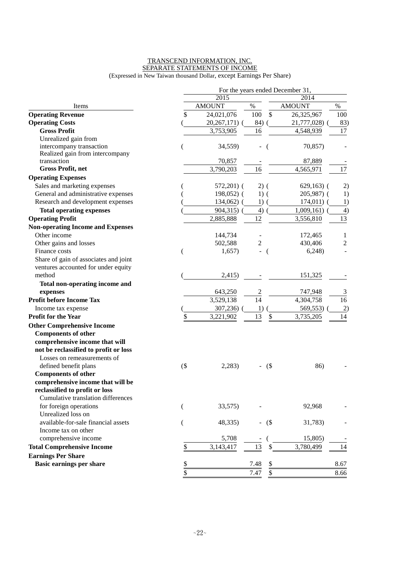#### TRANSCEND INFORMATION, INC. SEPARATE STATEMENTS OF INCOME (Expressed in New Taiwan thousand Dollar, except Earnings Per Share)

|                                          |               |               |                | For the years ended December 31, |                |
|------------------------------------------|---------------|---------------|----------------|----------------------------------|----------------|
|                                          |               | 2015          |                | 2014                             |                |
| Items                                    |               | <b>AMOUNT</b> | $\%$           | <b>AMOUNT</b>                    | $\%$           |
| <b>Operating Revenue</b>                 | \$            | 24,021,076    | 100<br>\$      | 26,325,967                       | 100            |
| <b>Operating Costs</b>                   |               | 20,267,171) ( | 84)            | 21,777,028) (                    | 83)            |
| <b>Gross Profit</b>                      |               | 3,753,905     | 16             | 4,548,939                        | 17             |
| Unrealized gain from                     |               |               |                |                                  |                |
| intercompany transaction                 |               | 34,559)       |                | 70,857)                          |                |
| Realized gain from intercompany          |               |               |                |                                  |                |
| transaction                              |               | 70,857        |                | 87,889                           |                |
| <b>Gross Profit, net</b>                 |               | 3,790,203     | 16             | 4,565,971                        | 17             |
| <b>Operating Expenses</b>                |               |               |                |                                  |                |
| Sales and marketing expenses             |               | $572,201$ (   | $2)$ (         | $629,163$ (                      | 2)             |
| General and administrative expenses      |               | $198,052$ (   | $1)$ (         | $205,987$ (                      | 1)             |
| Research and development expenses        |               | $134,062)$ (  | 1)             | $174,011)$ (                     | 1)             |
| <b>Total operating expenses</b>          |               | 904,315) (    | 4)             | $1,009,161)$ (                   | $\overline{4}$ |
| <b>Operating Profit</b>                  |               | 2,885,888     | 12             | 3,556,810                        | 13             |
| <b>Non-operating Income and Expenses</b> |               |               |                |                                  |                |
| Other income                             |               | 144,734       |                | 172,465                          | $\mathbf{1}$   |
| Other gains and losses                   |               | 502,588       | $\mathbf{2}$   | 430,406                          | $\sqrt{2}$     |
| Finance costs                            |               | 1,657)        | - (            | 6,248                            |                |
| Share of gain of associates and joint    |               |               |                |                                  |                |
| ventures accounted for under equity      |               |               |                |                                  |                |
| method                                   |               | 2,415)        |                | 151,325                          |                |
| Total non-operating income and           |               |               |                |                                  |                |
| expenses                                 |               | 643,250       | $\frac{2}{14}$ | 747,948                          | 3              |
| <b>Profit before Income Tax</b>          |               | 3,529,138     |                | 4,304,758                        | 16             |
| Income tax expense                       |               | 307,236)      | 1)             | 569,553)                         | 2)             |
| <b>Profit for the Year</b>               |               | 3,221,902     | \$<br>13       | 3,735,205                        | 14             |
| <b>Other Comprehensive Income</b>        |               |               |                |                                  |                |
| <b>Components of other</b>               |               |               |                |                                  |                |
| comprehensive income that will           |               |               |                |                                  |                |
| not be reclassified to profit or loss    |               |               |                |                                  |                |
| Losses on remeasurements of              |               |               |                |                                  |                |
| defined benefit plans                    | $($ \$        | 2,283)        | $-$ (\$)       | 86)                              |                |
| <b>Components of other</b>               |               |               |                |                                  |                |
| comprehensive income that will be        |               |               |                |                                  |                |
| reclassified to profit or loss           |               |               |                |                                  |                |
| Cumulative translation differences       |               |               |                |                                  |                |
| for foreign operations                   |               | 33,575)       |                | 92,968                           |                |
| Unrealized loss on                       |               |               |                |                                  |                |
| available-for-sale financial assets      |               | 48,335)       | $-$ (\$)       | 31,783)                          |                |
| Income tax on other                      |               |               |                |                                  |                |
| comprehensive income                     |               | 5,708         |                | 15,805)                          |                |
| <b>Total Comprehensive Income</b>        | \$            | 3,143,417     | 13<br>\$       | 3,780,499                        | 14             |
| <b>Earnings Per Share</b>                |               |               |                |                                  |                |
| <b>Basic earnings per share</b>          | $\frac{1}{2}$ |               | 7.48<br>\$     |                                  | 8.67           |
|                                          | \$            |               | 7.47<br>\$     |                                  | 8.66           |
|                                          |               |               |                |                                  |                |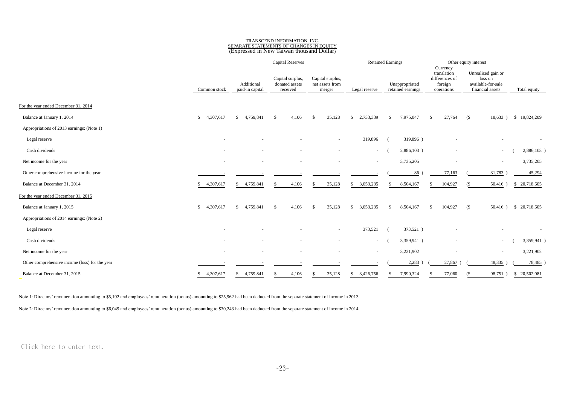## TRANSCEND INFORMATION, INC. SEPARATE STATEMENTS OF CHANGES IN EQUITY (Expressed in New Taiwan thousand Dollar)

|                                                |                 |                               | Capital Reserves                               |                                               |                           | <b>Retained Earnings</b>            |                                                                    | Other equity interest                                                   |                          |
|------------------------------------------------|-----------------|-------------------------------|------------------------------------------------|-----------------------------------------------|---------------------------|-------------------------------------|--------------------------------------------------------------------|-------------------------------------------------------------------------|--------------------------|
|                                                | Common stock    | Additional<br>paid-in capital | Capital surplus,<br>donated assets<br>received | Capital surplus,<br>net assets from<br>merger | Legal reserve             | Unappropriated<br>retained earnings | Currency<br>translation<br>differences of<br>foreign<br>operations | Unrealized gain or<br>loss on<br>available-for-sale<br>financial assets | Total equity             |
|                                                |                 |                               |                                                |                                               |                           |                                     |                                                                    |                                                                         |                          |
| For the year ended December 31, 2014           |                 |                               |                                                |                                               |                           |                                     |                                                                    |                                                                         |                          |
| Balance at January 1, 2014                     | \$4,307,617     | \$4,759,841                   | 4,106<br>$\mathcal{S}$                         | 35,128<br>-\$                                 | 2,733,339<br>\$           | 7,975,047<br><sup>\$</sup>          | 27,764<br>£.                                                       | (S<br>18,633)                                                           | \$19,824,209             |
| Appropriations of 2013 earnings: (Note 1)      |                 |                               |                                                |                                               |                           |                                     |                                                                    |                                                                         |                          |
| Legal reserve                                  |                 |                               |                                                | $\overline{\phantom{a}}$                      | 319,896                   | 319,896)                            |                                                                    |                                                                         |                          |
| Cash dividends                                 |                 |                               |                                                | $\overline{\phantom{a}}$                      | $\sim$                    | 2,886,103)                          | $\sim$                                                             | $\sim$                                                                  | 2,886,103                |
| Net income for the year                        | $\sim$          | ٠                             |                                                | $\overline{\phantom{a}}$                      | $\sim$                    | 3,735,205                           | $\sim$                                                             | $\sim$                                                                  | 3,735,205                |
| Other comprehensive income for the year        |                 |                               |                                                |                                               |                           | 86                                  | 77,163                                                             | 31,783                                                                  | 45,294                   |
| Balance at December 31, 2014                   | 4,307,617<br>S. | 4,759,841<br>\$               | 4,106<br>S                                     | 35,128<br>-S                                  | 3,053,235<br>S.           | 8,504,167<br>\$                     | 104,927                                                            | $50,416$ )<br>$($ \$                                                    | \$ 20,718,605            |
| For the year ended December 31, 2015           |                 |                               |                                                |                                               |                           |                                     |                                                                    |                                                                         |                          |
| Balance at January 1, 2015                     | 4,307,617<br>\$ | \$ 4,759,841                  | \$<br>4,106                                    | 35,128<br>\$                                  | 3,053,235<br>$\mathbf{s}$ | 8,504,167<br>\$                     | 104,927<br><sup>\$</sup>                                           | (S<br>$50,416$ )                                                        | \$ 20,718,605            |
| Appropriations of 2014 earnings: (Note 2)      |                 |                               |                                                |                                               |                           |                                     |                                                                    |                                                                         |                          |
| Legal reserve                                  |                 |                               |                                                | $\overline{\phantom{a}}$                      | 373,521                   | 373,521)                            |                                                                    |                                                                         | $\overline{\phantom{a}}$ |
| Cash dividends                                 |                 |                               |                                                |                                               | $\sim$                    | 3,359,941)                          | $\sim$                                                             | $\sim$                                                                  | 3,359,941                |
| Net income for the year                        | $\sim$          |                               |                                                |                                               | $\sim$                    | 3,221,902                           |                                                                    | $\overline{\phantom{a}}$                                                | 3,221,902                |
| Other comprehensive income (loss) for the year |                 |                               |                                                |                                               |                           | 2,283                               | 27,867)                                                            | 48,335                                                                  | 78,485                   |
| Balance at December 31, 2015                   | 4,307,617<br>\$ | \$ 4,759,841                  | 4,106                                          | 35,128<br>-S                                  | \$3,426,756               | 7,990,324                           | 77,060                                                             | 98,751)                                                                 | \$ 20,502,081            |

Note 1: Directors' remuneration amounting to \$5,192 and employees' remuneration (bonus) amounting to \$25,962 had been deducted from the separate statement of income in 2013.

Note 2: Directors' remuneration amounting to \$6,049 and employees' remuneration (bonus) amounting to \$30,243 had been deducted from the separate statement of income in 2014.

Click here to enter text.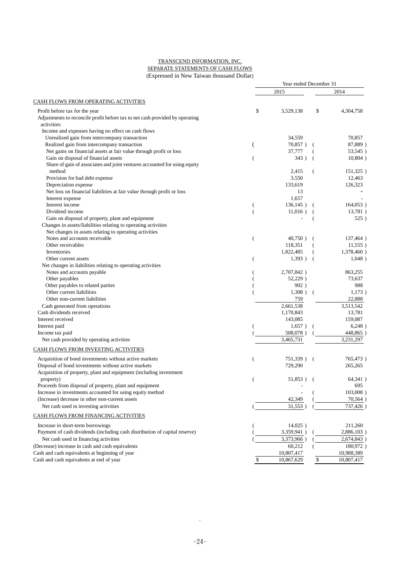#### TRANSCEND INFORMATION, INC. SEPARATE STATEMENTS OF CASH FLOWS (Expressed in New Taiwan thousand Dollar)

|                                                                              | Year ended December 31   |              |                |             |  |
|------------------------------------------------------------------------------|--------------------------|--------------|----------------|-------------|--|
|                                                                              |                          | 2015         |                | 2014        |  |
| <b>CASH FLOWS FROM OPERATING ACTIVITIES</b>                                  |                          |              |                |             |  |
| Profit before tax for the year                                               | \$                       | 3,529,138    | \$             | 4,304,758   |  |
| Adjustments to reconcile profit before tax to net cash provided by operating |                          |              |                |             |  |
| activities:                                                                  |                          |              |                |             |  |
| Income and expenses having no effect on cash flows                           |                          |              |                |             |  |
| Unrealized gain from intercompany transaction                                |                          | 34,559       |                | 70,857      |  |
| Realized gain from intercompany transaction                                  | $\overline{(}$           | 70,857)      |                | 87,889)     |  |
| Net gains on financial assets at fair value through profit or loss           |                          | 37,777       |                | 53,545)     |  |
| Gain on disposal of financial assets                                         | $\overline{\phantom{a}}$ | 343)         | $\overline{ }$ | $10,804$ )  |  |
| Share of gain of associates and joint ventures accounted for using equity    |                          |              |                |             |  |
| method                                                                       |                          | 2,415        |                | 151,325)    |  |
| Provision for bad debt expense                                               |                          | 3,550        |                | 12,463      |  |
| Depreciation expense                                                         |                          | 133,619      |                | 126,323     |  |
| Net loss on financial liabilities at fair value through profit or loss       |                          | 13           |                |             |  |
| Interest expense                                                             |                          | 1,657        |                |             |  |
| Interest income                                                              |                          | $136,145$ )  |                | $164,053$ ) |  |
| Dividend income                                                              |                          | $11,016$ )   |                | 13,781)     |  |
| Gain on disposal of property, plant and equipment                            |                          |              |                | 525)        |  |
| Changes in assets/liabilities relating to operating activities               |                          |              |                |             |  |
| Net changes in assets relating to operating activities                       |                          |              |                |             |  |
| Notes and accounts receivable                                                | $\overline{(}$           | $40,750$ )   | $\overline{ }$ | 137,464)    |  |
| Other receivables                                                            |                          | 118,351      |                | $11,555$ )  |  |
| Inventories                                                                  |                          | 1,822,485    |                | 1,378,460)  |  |
| Other current assets                                                         |                          | 1,393)       | $\overline{ }$ | 1,048)      |  |
|                                                                              | (                        |              |                |             |  |
| Net changes in liabilities relating to operating activities                  |                          | 2,707,842)   |                | 863,255     |  |
| Notes and accounts payable<br>Other payables                                 |                          | 52,229)      |                |             |  |
|                                                                              |                          |              |                | 73,637      |  |
| Other payables to related parties                                            |                          | 902)         |                | 988         |  |
| Other current liabilities                                                    |                          | $1,308$ ) (  |                | 1,173)      |  |
| Other non-current liabilities                                                |                          | 759          |                | 22,888      |  |
| Cash generated from operations                                               |                          | 2,661,538    |                | 3,513,542   |  |
| Cash dividends received                                                      |                          | 1,170,843    |                | 13,781      |  |
| Interest received                                                            |                          | 143,085      |                | 159,087     |  |
| Interest paid                                                                |                          | 1,657)       |                | 6,248)      |  |
| Income tax paid                                                              |                          | 508,078)     |                | 448,865)    |  |
| Net cash provided by operating activities                                    |                          | 3,465,731    |                | 3,231,297   |  |
| CASH FLOWS FROM INVESTING ACTIVITIES                                         |                          |              |                |             |  |
| Acquisition of bond investments without active markets                       | (                        | 751,339) (   |                | 765,473)    |  |
| Disposal of bond investments without active markets                          |                          | 729,290      |                | 265,265     |  |
| Acquisition of property, plant and equipment (including investment           |                          |              |                |             |  |
| property)                                                                    |                          | $51,853$ ) ( |                | 64,341)     |  |
| Proceeds from disposal of property, plant and equipment                      |                          |              |                | 695         |  |
| Increase in investments accounted for using equity method                    |                          |              |                | $103,008$ ) |  |
| (Increase) decrease in other non-current assets                              |                          | 42,349       |                | 70,564)     |  |
| Net cash used in investing activities                                        |                          | 31,553       |                | 737,426)    |  |
| CASH FLOWS FROM FINANCING ACTIVITIES                                         |                          |              |                |             |  |
|                                                                              |                          |              |                |             |  |
| Increase in short-term borrowings                                            |                          | $14,025$ )   |                | 211,260     |  |
| Payment of cash dividends (including cash distribution of capital reserve)   |                          | 3,359,941)   |                | 2,886,103)  |  |
| Net cash used in financing activities                                        |                          | 3,373,966)   |                | 2,674,843)  |  |
| (Decrease) increase in cash and cash equivalents                             |                          | 60,212       |                | 180,972)    |  |
| Cash and cash equivalents at beginning of year                               |                          | 10,807,417   |                | 10,988,389  |  |
| Cash and cash equivalents at end of year                                     | \$                       | 10,867,629   | \$             | 10,807,417  |  |

.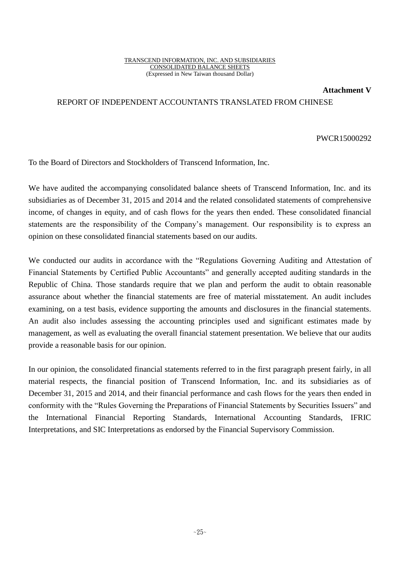**Attachment V**

## REPORT OF INDEPENDENT ACCOUNTANTS TRANSLATED FROM CHINESE

PWCR15000292

To the Board of Directors and Stockholders of Transcend Information, Inc.

We have audited the accompanying consolidated balance sheets of Transcend Information, Inc. and its subsidiaries as of December 31, 2015 and 2014 and the related consolidated statements of comprehensive income, of changes in equity, and of cash flows for the years then ended. These consolidated financial statements are the responsibility of the Company's management. Our responsibility is to express an opinion on these consolidated financial statements based on our audits.

We conducted our audits in accordance with the "Regulations Governing Auditing and Attestation of Financial Statements by Certified Public Accountants" and generally accepted auditing standards in the Republic of China. Those standards require that we plan and perform the audit to obtain reasonable assurance about whether the financial statements are free of material misstatement. An audit includes examining, on a test basis, evidence supporting the amounts and disclosures in the financial statements. An audit also includes assessing the accounting principles used and significant estimates made by management, as well as evaluating the overall financial statement presentation. We believe that our audits provide a reasonable basis for our opinion.

In our opinion, the consolidated financial statements referred to in the first paragraph present fairly, in all material respects, the financial position of Transcend Information, Inc. and its subsidiaries as of December 31, 2015 and 2014, and their financial performance and cash flows for the years then ended in conformity with the "Rules Governing the Preparations of Financial Statements by Securities Issuers" and the International Financial Reporting Standards, International Accounting Standards, IFRIC Interpretations, and SIC Interpretations as endorsed by the Financial Supervisory Commission.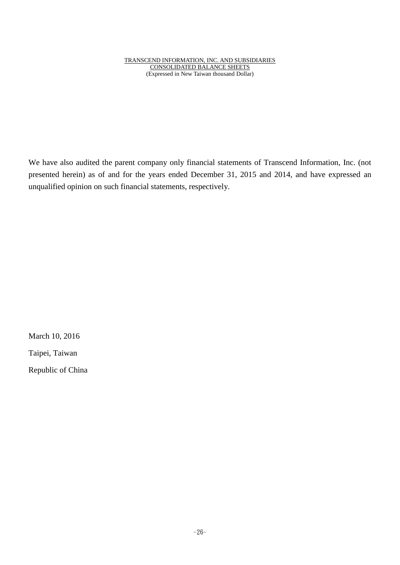We have also audited the parent company only financial statements of Transcend Information, Inc. (not presented herein) as of and for the years ended December 31, 2015 and 2014, and have expressed an unqualified opinion on such financial statements, respectively.

March 10, 2016

Taipei, Taiwan

Republic of China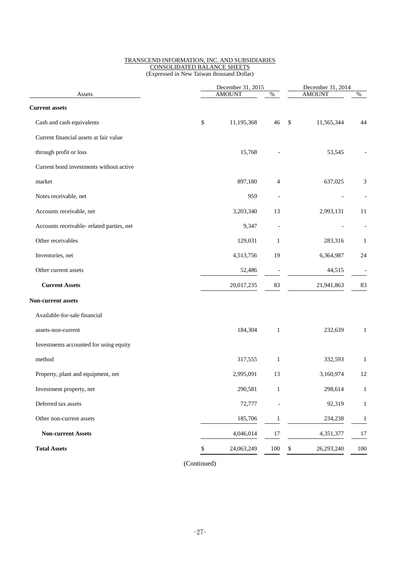|                                           | December 31, 2015 |               |                | December 31, 2014 |              |  |
|-------------------------------------------|-------------------|---------------|----------------|-------------------|--------------|--|
| Assets                                    |                   | <b>AMOUNT</b> | $\%$           | <b>AMOUNT</b>     | $\%$         |  |
| <b>Current assets</b>                     |                   |               |                |                   |              |  |
| Cash and cash equivalents                 | \$                | 11,195,368    | 46             | \$<br>11,565,344  | 44           |  |
| Current financial assets at fair value    |                   |               |                |                   |              |  |
| through profit or loss                    |                   | 15,768        |                | 53,545            |              |  |
| Current bond investments without active   |                   |               |                |                   |              |  |
| market                                    |                   | 897,180       | 4              | 637,025           | 3            |  |
| Notes receivable, net                     |                   | 959           | $\blacksquare$ |                   |              |  |
| Accounts receivable, net                  |                   | 3,203,340     | 13             | 2,993,131         | 11           |  |
| Accounts receivable- related parties, net |                   | 9,347         |                |                   |              |  |
| Other receivables                         |                   | 129,031       | 1              | 283,316           | 1            |  |
| Inventories, net                          |                   | 4,513,756     | 19             | 6,364,987         | 24           |  |
| Other current assets                      |                   | 52,486        |                | 44,515            |              |  |
| <b>Current Assets</b>                     |                   | 20,017,235    | 83             | 21,941,863        | 83           |  |
| Non-current assets                        |                   |               |                |                   |              |  |
| Available-for-sale financial              |                   |               |                |                   |              |  |
| assets-non-current                        |                   | 184,304       | $\mathbf{1}$   | 232,639           | 1            |  |
| Investments accounted for using equity    |                   |               |                |                   |              |  |
| method                                    |                   | 317,555       | $\mathbf{1}$   | 332,593           | 1            |  |
| Property, plant and equipment, net        |                   | 2,995,091     | 13             | 3,160,974         | 12           |  |
| Investment property, net                  |                   | 290,581       | $\mathbf{1}$   | 298,614           | $\mathbf{1}$ |  |
| Deferred tax assets                       |                   | 72,777        |                | 92,319            | 1            |  |
| Other non-current assets                  |                   | 185,706       | $\mathbf{1}$   | 234,238           | $\mathbf{1}$ |  |
| <b>Non-current Assets</b>                 |                   | 4,046,014     | 17             | 4,351,377         | 17           |  |
| <b>Total Assets</b>                       | \$                | 24,063,249    | $100\,$        | \$<br>26,293,240  | 100          |  |
|                                           |                   |               |                |                   |              |  |

(Continued)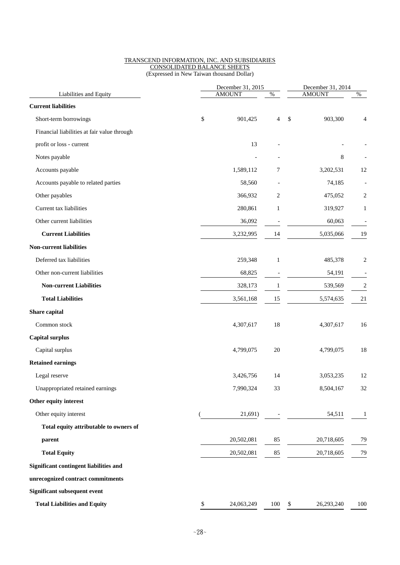| December 31, 2014 |                                            |  |
|-------------------|--------------------------------------------|--|
|                   | $\%$                                       |  |
|                   |                                            |  |
|                   | 4                                          |  |
|                   |                                            |  |
|                   |                                            |  |
|                   |                                            |  |
|                   | 12                                         |  |
| 74,185            |                                            |  |
| 475,052           | 2                                          |  |
| 319,927           | 1                                          |  |
| 60,063            |                                            |  |
| 5,035,066         | 19                                         |  |
|                   |                                            |  |
| 485,378           | 2                                          |  |
| 54,191            |                                            |  |
| 539,569           | $\overline{c}$                             |  |
| 5,574,635         | 21                                         |  |
|                   |                                            |  |
| 4,307,617         | 16                                         |  |
|                   |                                            |  |
| 4,799,075         | 18                                         |  |
|                   |                                            |  |
| 3,053,235         | 12                                         |  |
| 8,504,167         | 32                                         |  |
|                   |                                            |  |
| 54,511            | 1                                          |  |
|                   |                                            |  |
| 20,718,605        | 79                                         |  |
| 20,718,605        | 79                                         |  |
|                   |                                            |  |
|                   |                                            |  |
|                   |                                            |  |
|                   |                                            |  |
|                   | <b>AMOUNT</b><br>903,300<br>8<br>3,202,531 |  |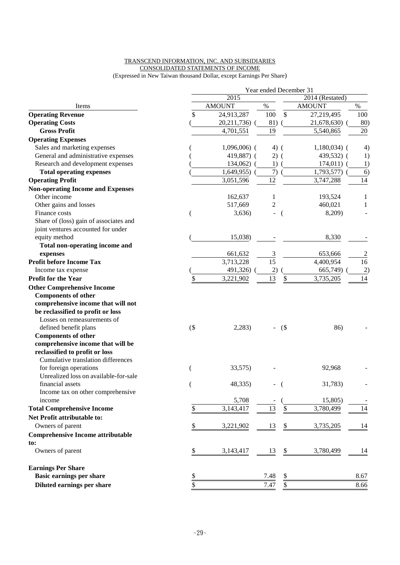## TRANSCEND INFORMATION, INC. AND SUBSIDIARIES CONSOLIDATED STATEMENTS OF INCOME

(Expressed in New Taiwan thousand Dollar, except Earnings Per Share)

|                                          |        |                 |                 |     | Year ended December 31 |                   |
|------------------------------------------|--------|-----------------|-----------------|-----|------------------------|-------------------|
|                                          |        | 2014 (Restated) |                 |     |                        |                   |
| Items                                    |        | <b>AMOUNT</b>   | $\%$            |     | <b>AMOUNT</b>          | $\%$              |
| <b>Operating Revenue</b>                 | \$     | 24,913,287      | 100             | \$  | 27,219,495             | 100               |
| <b>Operating Costs</b>                   |        | 20,211,736)     | 81)             |     | 21,678,630)            | 80)               |
| <b>Gross Profit</b>                      |        | 4,701,551       | 19              |     | 5,540,865              | 20                |
| <b>Operating Expenses</b>                |        |                 |                 |     |                        |                   |
| Sales and marketing expenses             |        | $1,096,006$ (   | $4)$ (          |     | $1,180,034$ (          | $\left( 4\right)$ |
| General and administrative expenses      |        | 419,887) (      | $2)$ (          |     | 439,532) (             | 1)                |
| Research and development expenses        |        | 134,062)        | 1)              |     | 174,011                | 1)                |
| <b>Total operating expenses</b>          |        | 1,649,955)      | 7)              |     | 1,793,577)             | 6)                |
| <b>Operating Profit</b>                  |        | 3,051,596       | 12              |     | 3,747,288              | 14                |
| <b>Non-operating Income and Expenses</b> |        |                 |                 |     |                        |                   |
| Other income                             |        | 162,637         | 1               |     | 193,524                | 1                 |
| Other gains and losses                   |        | 517,669         | 2               |     | 460,021                | 1                 |
| Finance costs                            |        | 3,636           |                 |     | 8,209)                 |                   |
| Share of (loss) gain of associates and   |        |                 |                 |     |                        |                   |
| joint ventures accounted for under       |        |                 |                 |     |                        |                   |
| equity method                            |        | 15,038)         |                 |     | 8,330                  |                   |
| Total non-operating income and           |        |                 |                 |     |                        |                   |
| expenses                                 |        | 661,632         | 3               |     | 653,666                | $\overline{c}$    |
| <b>Profit before Income Tax</b>          |        | 3,713,228       | $\overline{15}$ |     | 4,400,954              | 16                |
| Income tax expense                       |        | 491,326)        | 2)              |     | 665,749)               | 2)                |
| <b>Profit for the Year</b>               | \$     | 3,221,902       | 13              | \$  | 3,735,205              | 14                |
| <b>Other Comprehensive Income</b>        |        |                 |                 |     |                        |                   |
| <b>Components of other</b>               |        |                 |                 |     |                        |                   |
| comprehensive income that will not       |        |                 |                 |     |                        |                   |
| be reclassified to profit or loss        |        |                 |                 |     |                        |                   |
| Losses on remeasurements of              |        |                 |                 |     |                        |                   |
| defined benefit plans                    | $($ \$ | 2,283           |                 | (\$ | 86)                    |                   |
| <b>Components of other</b>               |        |                 |                 |     |                        |                   |
| comprehensive income that will be        |        |                 |                 |     |                        |                   |
| reclassified to profit or loss           |        |                 |                 |     |                        |                   |
| Cumulative translation differences       |        |                 |                 |     |                        |                   |
| for foreign operations                   |        | 33,575)         |                 |     | 92,968                 |                   |
| Unrealized loss on available-for-sale    |        |                 |                 |     |                        |                   |
| financial assets                         |        | 48,335)         |                 |     | 31,783)                |                   |
| Income tax on other comprehensive        |        |                 |                 |     |                        |                   |
| income                                   |        | 5,708           |                 |     | 15,805)                |                   |
| <b>Total Comprehensive Income</b>        | \$     | 3,143,417       | 13              |     | 3,780,499              | 14                |
| Net Profit attributable to:              |        |                 |                 |     |                        |                   |
| Owners of parent                         | \$     | 3,221,902       | 13              | \$  | 3,735,205              | 14                |
| <b>Comprehensive Income attributable</b> |        |                 |                 |     |                        |                   |
| to:                                      |        |                 |                 |     |                        |                   |
| Owners of parent                         | \$     | 3,143,417       | 13              |     | 3,780,499              | 14                |
| <b>Earnings Per Share</b>                |        |                 |                 |     |                        |                   |
| <b>Basic earnings per share</b>          | \$     |                 | 7.48            | \$  |                        | 8.67              |
| Diluted earnings per share               | \$     |                 | 7.47            | \$  |                        | 8.66              |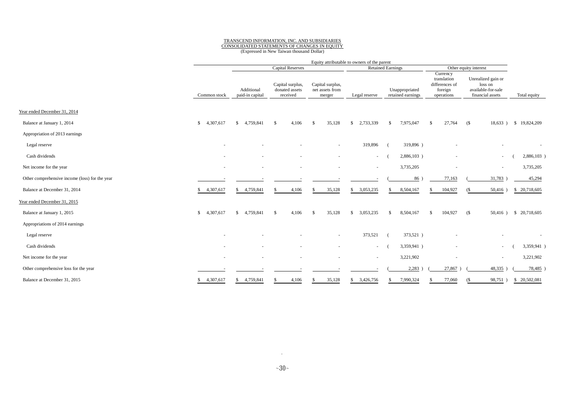#### TRANSCEND INFORMATION, INC. AND SUBSIDIARIES CONSOLIDATED STATEMENTS OF CHANGES IN EQUITY

(Expressed in New Taiwan thousand Dollar)

|                                                | Equity attributable to owners of the parent |                                                     |                                                |                                               |                           |                                     |                                                                    |                                                                         |                       |
|------------------------------------------------|---------------------------------------------|-----------------------------------------------------|------------------------------------------------|-----------------------------------------------|---------------------------|-------------------------------------|--------------------------------------------------------------------|-------------------------------------------------------------------------|-----------------------|
|                                                |                                             | <b>Capital Reserves</b><br><b>Retained Earnings</b> |                                                |                                               |                           |                                     | Other equity interest                                              |                                                                         |                       |
|                                                | Common stock                                | Additional<br>paid-in capital                       | Capital surplus,<br>donated assets<br>received | Capital surplus,<br>net assets from<br>merger | Legal reserve             | Unappropriated<br>retained earnings | Currency<br>translation<br>differences of<br>foreign<br>operations | Unrealized gain or<br>loss on<br>available-for-sale<br>financial assets | Total equity          |
| Year ended December 31, 2014                   |                                             |                                                     |                                                |                                               |                           |                                     |                                                                    |                                                                         |                       |
| Balance at January 1, 2014                     | 4,307,617<br>$\mathbb{S}$                   | \$4,759,841                                         | 4,106<br>-\$                                   | 35,128<br>-\$                                 | 2,733,339<br>$\mathbb{S}$ | 7,975,047<br>-\$                    | 27,764<br>-S                                                       | (S<br>18,633)                                                           | \$19,824,209          |
| Appropriation of 2013 earnings                 |                                             |                                                     |                                                |                                               |                           |                                     |                                                                    |                                                                         |                       |
| Legal reserve                                  |                                             |                                                     |                                                | $\sim$                                        | 319,896                   | 319,896)                            |                                                                    |                                                                         |                       |
| Cash dividends                                 |                                             |                                                     |                                                |                                               | $\sim$                    | 2,886,103)                          |                                                                    | $\overline{\phantom{a}}$                                                | 2,886,103             |
| Net income for the year                        |                                             |                                                     |                                                |                                               | $\overline{\phantom{a}}$  | 3,735,205                           |                                                                    | $\overline{\phantom{a}}$                                                | 3,735,205             |
| Other comprehensive income (loss) for the year |                                             |                                                     |                                                |                                               |                           | 86 <sup>°</sup>                     | 77,163                                                             | 31,783                                                                  | 45,294                |
| Balance at December 31, 2014                   | 4,307,617<br>\$                             | 4,759,841<br>S.                                     | 4,106                                          | 35,128<br>-8                                  | 3,053,235<br>\$           | 8,504,167<br>.S                     | 104,927                                                            | $50,416$ )<br>(S                                                        | \$ 20,718,605         |
| Year ended December 31, 2015                   |                                             |                                                     |                                                |                                               |                           |                                     |                                                                    |                                                                         |                       |
| Balance at January 1, 2015                     | 4,307,617<br>\$                             | \$4,759,841                                         | 4,106<br>-\$                                   | 35,128<br>-\$                                 | 3,053,235<br>$\mathbb{S}$ | 8,504,167<br>\$                     | 104,927<br>-S                                                      | (S                                                                      | 50,416) \$ 20,718,605 |
| Appropriations of 2014 earnings                |                                             |                                                     |                                                |                                               |                           |                                     |                                                                    |                                                                         |                       |
| Legal reserve                                  |                                             |                                                     |                                                |                                               | 373,521                   | 373,521)                            |                                                                    |                                                                         |                       |
| Cash dividends                                 |                                             |                                                     |                                                |                                               | $\sim$                    | 3,359,941)                          |                                                                    | $\overline{\phantom{a}}$                                                | 3,359,941)            |
| Net income for the year                        |                                             |                                                     |                                                |                                               | $\overline{\phantom{a}}$  | 3,221,902                           |                                                                    | $\overline{\phantom{a}}$                                                | 3,221,902             |
| Other comprehensive loss for the year          |                                             |                                                     |                                                |                                               |                           | 2,283                               | 27,867                                                             | 48,335                                                                  | 78,485                |
| Balance at December 31, 2015                   | 4,307,617<br>\$                             | \$4,759,841                                         | 4,106                                          | 35,128                                        | 3,426,756<br>\$           | 7,990,324                           | 77,060                                                             | 98,751)<br>(S                                                           | \$ 20,502,081         |

.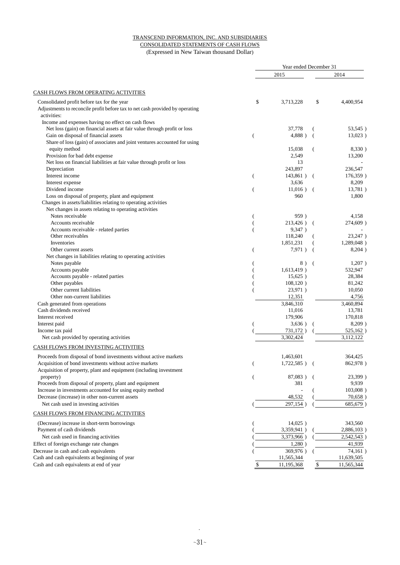#### TRANSCEND INFORMATION, INC. AND SUBSIDIARIES CONSOLIDATED STATEMENTS OF CASH FLOWS (Expressed in New Taiwan thousand Dollar)

|                                                                                             | Year ended December 31 |                     |     |                     |  |  |
|---------------------------------------------------------------------------------------------|------------------------|---------------------|-----|---------------------|--|--|
|                                                                                             |                        | 2015                |     | 2014                |  |  |
| <b>CASH FLOWS FROM OPERATING ACTIVITIES</b>                                                 |                        |                     |     |                     |  |  |
| Consolidated profit before tax for the year                                                 | \$                     | 3,713,228           | \$  | 4,400,954           |  |  |
| Adjustments to reconcile profit before tax to net cash provided by operating<br>activities: |                        |                     |     |                     |  |  |
| Income and expenses having no effect on cash flows                                          |                        |                     |     |                     |  |  |
| Net loss (gain) on financial assets at fair value through profit or loss                    |                        | 37,778              |     | 53,545)             |  |  |
| Gain on disposal of financial assets                                                        |                        | 4,888)              |     | 13,023)             |  |  |
| Share of loss (gain) of associates and joint ventures accounted for using                   |                        |                     |     |                     |  |  |
| equity method                                                                               |                        | 15.038              |     | 8,330               |  |  |
| Provision for bad debt expense                                                              |                        | 2,549               |     | 13,200              |  |  |
| Net loss on financial liabilities at fair value through profit or loss                      |                        | 13                  |     |                     |  |  |
| Depreciation<br>Interest income                                                             |                        | 243,897<br>143,861) |     | 236,547<br>176,359) |  |  |
| Interest expense                                                                            | (                      | 3,636               |     | 8,209               |  |  |
| Dividend income                                                                             | €                      | $11,016$ )          | - ( | 13,781)             |  |  |
| Loss on disposal of property, plant and equipment                                           |                        | 960                 |     | 1,800               |  |  |
| Changes in assets/liabilities relating to operating activities                              |                        |                     |     |                     |  |  |
| Net changes in assets relating to operating activities                                      |                        |                     |     |                     |  |  |
| Notes receivable                                                                            |                        | 959)                |     | 4,158               |  |  |
| Accounts receivable                                                                         |                        | 213,426)            |     | 274,609)            |  |  |
| Accounts receivable - related parties                                                       |                        | 9,347)              |     |                     |  |  |
| Other receivables                                                                           |                        | 118,240             |     | 23,247)             |  |  |
| Inventories                                                                                 |                        | 1,851,231           |     | 1,289,048           |  |  |
| Other current assets                                                                        | €                      | 7,971)              |     | $8,204$ )           |  |  |
| Net changes in liabilities relating to operating activities                                 |                        |                     |     |                     |  |  |
| Notes payable                                                                               |                        | 8)                  |     | $1,207$ )           |  |  |
| Accounts payable                                                                            |                        | 1,613,419)          |     | 532,947             |  |  |
| Accounts payable - related parties                                                          |                        | 15,625)             |     | 28,384              |  |  |
| Other payables                                                                              |                        | 108,120)            |     | 81,242              |  |  |
| Other current liabilities                                                                   |                        | 23,971)             |     | 10,050              |  |  |
| Other non-current liabilities                                                               |                        | 12,351              |     | 4,756               |  |  |
| Cash generated from operations                                                              |                        | 3,846,310           |     | 3,460,894           |  |  |
| Cash dividends received                                                                     |                        | 11,016              |     | 13,781              |  |  |
| Interest received                                                                           |                        | 179,906             |     | 170,818             |  |  |
| Interest paid                                                                               |                        | 3,636)              |     | 8,209)              |  |  |
| Income tax paid                                                                             |                        | 731,172)            |     | 525,162)            |  |  |
| Net cash provided by operating activities                                                   |                        | 3,302,424           |     | 3,112,122           |  |  |
| CASH FLOWS FROM INVESTING ACTIVITIES                                                        |                        |                     |     |                     |  |  |
| Proceeds from disposal of bond investments without active markets                           |                        | 1,463,601           |     | 364,425             |  |  |
| Acquisition of bond investments without active markets                                      |                        | 1,722,585)          |     | 862,978)            |  |  |
| Acquisition of property, plant and equipment (including investment                          |                        |                     |     |                     |  |  |
| property)                                                                                   | (                      | 87,083)             |     | 23,399)             |  |  |
| Proceeds from disposal of property, plant and equipment                                     |                        | 381                 |     | 9,939               |  |  |
| Increase in investments accounted for using equity method                                   |                        |                     |     | 103,008)            |  |  |
| Decrease (increase) in other non-current assets                                             |                        | 48,532              |     | 70,658              |  |  |
| Net cash used in investing activities                                                       |                        | 297,154)            |     | 685,679             |  |  |
| CASH FLOWS FROM FINANCING ACTIVITIES                                                        |                        |                     |     |                     |  |  |
| (Decrease) increase in short-term borrowings                                                |                        | 14,025)             |     | 343,560             |  |  |
| Payment of cash dividends                                                                   |                        | 3,359,941)          |     | 2,886,103           |  |  |
| Net cash used in financing activities                                                       |                        | 3,373,966)          |     | 2,542,543           |  |  |
| Effect of foreign exchange rate changes                                                     |                        | 1,280)              |     | 41,939              |  |  |
| Decrease in cash and cash equivalents                                                       |                        | 369,976)            |     | 74,161              |  |  |
| Cash and cash equivalents at beginning of year                                              |                        | 11,565,344          |     | 11,639,505          |  |  |
| Cash and cash equivalents at end of year                                                    | \$                     | 11,195,368          | \$  | 11,565,344          |  |  |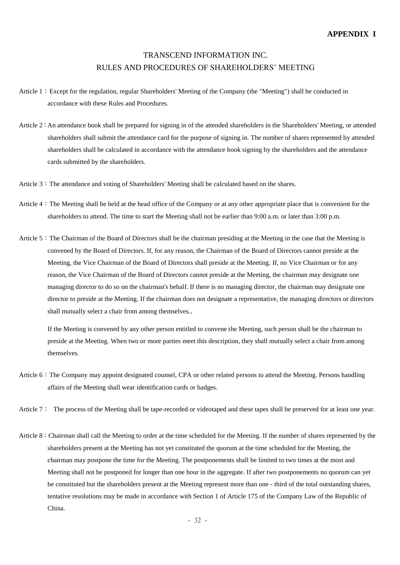# TRANSCEND INFORMATION INC. RULES AND PROCEDURES OF SHAREHOLDERS' MEETING

- Article 1: Except for the regulation, regular Shareholders' Meeting of the Company (the "Meeting") shall be conducted in accordance with these Rules and Procedures.
- Article 2: An attendance book shall be prepared for signing in of the attended shareholders in the Shareholders' Meeting, or attended shareholders shall submit the attendance card for the purpose of signing in. The number of shares represented by attended shareholders shall be calculated in accordance with the attendance book signing by the shareholders and the attendance cards submitted by the shareholders.
- Article 3: The attendance and voting of Shareholders' Meeting shall be calculated based on the shares.
- Article 4:The Meeting shall be held at the head office of the Company or at any other appropriate place that is convenient for the shareholders to attend. The time to start the Meeting shall not be earlier than 9:00 a.m. or later than 3:00 p.m.
- Article 5: The Chairman of the Board of Directors shall be the chairman presiding at the Meeting in the case that the Meeting is convened by the Board of Directors. If, for any reason, the Chairman of the Board of Directors cannot preside at the Meeting, the Vice Chairman of the Board of Directors shall preside at the Meeting. If, no Vice Chairman or for any reason, the Vice Chairman of the Board of Directors cannot preside at the Meeting, the chairman may designate one managing director to do so on the chairman's behalf. If there is no managing director, the chairman may designate one director to preside at the Meeting. If the chairman does not designate a representative, the managing directors or directors shall mutually select a chair from among themselves..

If the Meeting is convened by any other person entitled to convene the Meeting, such person shall be the chairman to preside at the Meeting. When two or more parties meet this description, they shall mutually select a chair from among themselves.

- Article 6: The Company may appoint designated counsel, CPA or other related persons to attend the Meeting. Persons handling affairs of the Meeting shall wear identification cards or badges.
- Article 7: The process of the Meeting shall be tape-recorded or videotaped and these tapes shall be preserved for at least one year.
- Article 8: Chairman shall call the Meeting to order at the time scheduled for the Meeting. If the number of shares represented by the shareholders present at the Meeting has not yet constituted the quorum at the time scheduled for the Meeting, the chairman may postpone the time for the Meeting. The postponements shall be limited to two times at the most and Meeting shall not be postponed for longer than one hour in the aggregate. If after two postponements no quorum can yet be constituted but the shareholders present at the Meeting represent more than one - third of the total outstanding shares, tentative resolutions may be made in accordance with Section 1 of Article 175 of the Company Law of the Republic of China.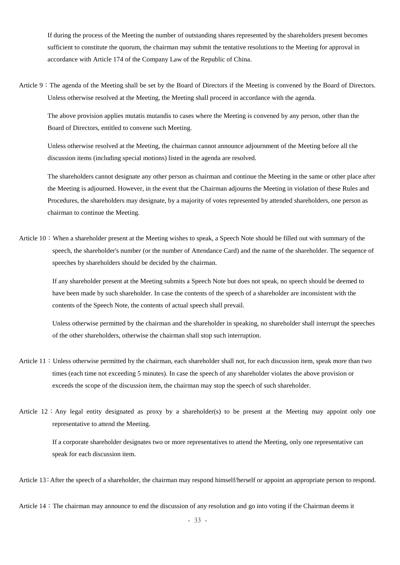If during the process of the Meeting the number of outstanding shares represented by the shareholders present becomes sufficient to constitute the quorum, the chairman may submit the tentative resolutions to the Meeting for approval in accordance with Article 174 of the Company Law of the Republic of China.

Article 9:The agenda of the Meeting shall be set by the Board of Directors if the Meeting is convened by the Board of Directors. Unless otherwise resolved at the Meeting, the Meeting shall proceed in accordance with the agenda.

The above provision applies mutatis mutandis to cases where the Meeting is convened by any person, other than the Board of Directors, entitled to convene such Meeting.

Unless otherwise resolved at the Meeting, the chairman cannot announce adjournment of the Meeting before all the discussion items (including special motions) listed in the agenda are resolved.

The shareholders cannot designate any other person as chairman and continue the Meeting in the same or other place after the Meeting is adjourned. However, in the event that the Chairman adjourns the Meeting in violation of these Rules and Procedures, the shareholders may designate, by a majority of votes represented by attended shareholders, one person as chairman to continue the Meeting.

Article  $10:$  When a shareholder present at the Meeting wishes to speak, a Speech Note should be filled out with summary of the speech, the shareholder's number (or the number of Attendance Card) and the name of the shareholder. The sequence of speeches by shareholders should be decided by the chairman.

If any shareholder present at the Meeting submits a Speech Note but does not speak, no speech should be deemed to have been made by such shareholder. In case the contents of the speech of a shareholder are inconsistent with the contents of the Speech Note, the contents of actual speech shall prevail.

Unless otherwise permitted by the chairman and the shareholder in speaking, no shareholder shall interrupt the speeches of the other shareholders, otherwise the chairman shall stop such interruption.

- Article 11: Unless otherwise permitted by the chairman, each shareholder shall not, for each discussion item, speak more than two times (each time not exceeding 5 minutes). In case the speech of any shareholder violates the above provision or exceeds the scope of the discussion item, the chairman may stop the speech of such shareholder.
- Article  $12:$  Any legal entity designated as proxy by a shareholder(s) to be present at the Meeting may appoint only one representative to attend the Meeting.

If a corporate shareholder designates two or more representatives to attend the Meeting, only one representative can speak for each discussion item.

Article 13: After the speech of a shareholder, the chairman may respond himself/herself or appoint an appropriate person to respond.

Article 14: The chairman may announce to end the discussion of any resolution and go into voting if the Chairman deems it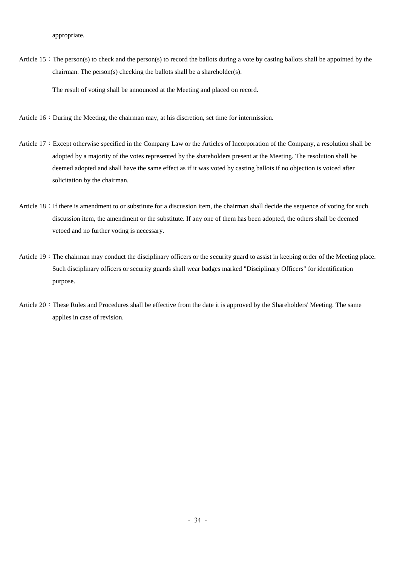appropriate.

Article  $15$ : The person(s) to check and the person(s) to record the ballots during a vote by casting ballots shall be appointed by the chairman. The person(s) checking the ballots shall be a shareholder(s).

The result of voting shall be announced at the Meeting and placed on record.

- Article  $16:$  During the Meeting, the chairman may, at his discretion, set time for intermission.
- Article 17: Except otherwise specified in the Company Law or the Articles of Incorporation of the Company, a resolution shall be adopted by a majority of the votes represented by the shareholders present at the Meeting. The resolution shall be deemed adopted and shall have the same effect as if it was voted by casting ballots if no objection is voiced after solicitation by the chairman.
- Article  $18:$  If there is amendment to or substitute for a discussion item, the chairman shall decide the sequence of voting for such discussion item, the amendment or the substitute. If any one of them has been adopted, the others shall be deemed vetoed and no further voting is necessary.
- Article 19: The chairman may conduct the disciplinary officers or the security guard to assist in keeping order of the Meeting place. Such disciplinary officers or security guards shall wear badges marked "Disciplinary Officers" for identification purpose.
- Article 20: These Rules and Procedures shall be effective from the date it is approved by the Shareholders' Meeting. The same applies in case of revision.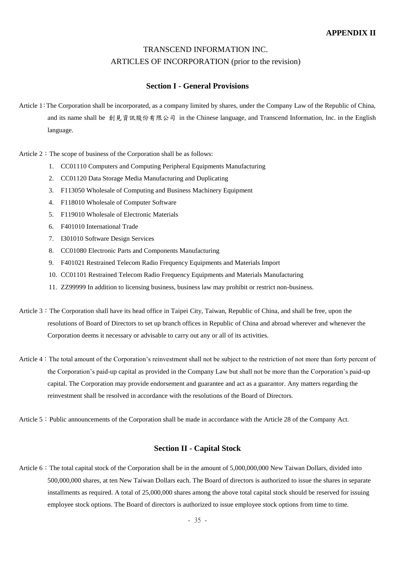# TRANSCEND INFORMATION INC. ARTICLES OF INCORPORATION (prior to the revision)

## **Section I - General Provisions**

Article 1:The Corporation shall be incorporated, as a company limited by shares, under the Company Law of the Republic of China, and its name shall be 創見資訊股份有限公司 in the Chinese language, and Transcend Information, Inc. in the English language.

Article  $2:$  The scope of business of the Corporation shall be as follows:

- 1. CC01110 Computers and Computing Peripheral Equipments Manufacturing
- 2. CC01120 Data Storage Media Manufacturing and Duplicating
- 3. F113050 Wholesale of Computing and Business Machinery Equipment
- 4. F118010 Wholesale of Computer Software
- 5. F119010 Wholesale of Electronic Materials
- 6. F401010 International Trade
- 7. I301010 Software Design Services
- 8. CC01080 Electronic Parts and Components Manufacturing
- 9. F401021 Restrained Telecom Radio Frequency Equipments and Materials Import
- 10. CC01101 Restrained Telecom Radio Frequency Equipments and Materials Manufacturing
- 11. ZZ99999 In addition to licensing business, business law may prohibit or restrict non-business.
- Article 3: The Corporation shall have its head office in Taipei City, Taiwan, Republic of China, and shall be free, upon the resolutions of Board of Directors to set up branch offices in Republic of China and abroad wherever and whenever the Corporation deems it necessary or advisable to carry out any or all of its activities.
- Article 4:The total amount of the Corporation's reinvestment shall not be subject to the restriction of not more than forty percent of the Corporation's paid-up capital as provided in the Company Law but shall not be more than the Corporation's paid-up capital. The Corporation may provide endorsement and guarantee and act as a guarantor. Any matters regarding the reinvestment shall be resolved in accordance with the resolutions of the Board of Directors.
- Article 5: Public announcements of the Corporation shall be made in accordance with the Article 28 of the Company Act.

## **Section II - Capital Stock**

Article 6: The total capital stock of the Corporation shall be in the amount of 5,000,000,000 New Taiwan Dollars, divided into 500,000,000 shares, at ten New Taiwan Dollars each. The Board of directors is authorized to issue the shares in separate installments as required. A total of 25,000,000 shares among the above total capital stock should be reserved for issuing employee stock options. The Board of directors is authorized to issue employee stock options from time to time.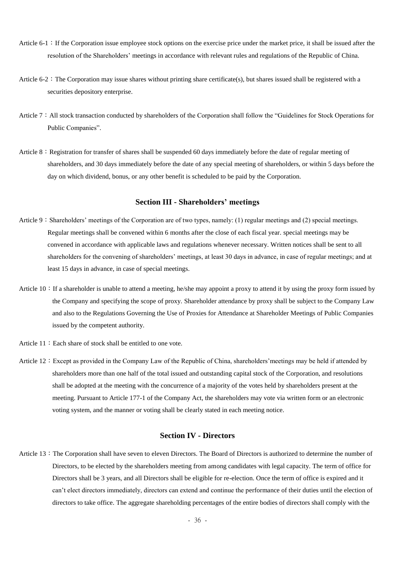- Article  $6-1$ : If the Corporation issue employee stock options on the exercise price under the market price, it shall be issued after the resolution of the Shareholders' meetings in accordance with relevant rules and regulations of the Republic of China.
- Article  $6-2$ : The Corporation may issue shares without printing share certificate(s), but shares issued shall be registered with a securities depository enterprise.
- Article 7: All stock transaction conducted by shareholders of the Corporation shall follow the "Guidelines for Stock Operations for Public Companies".
- Article  $8:$  Registration for transfer of shares shall be suspended 60 days immediately before the date of regular meeting of shareholders, and 30 days immediately before the date of any special meeting of shareholders, or within 5 days before the day on which dividend, bonus, or any other benefit is scheduled to be paid by the Corporation.

## **Section III - Shareholders' meetings**

- Article 9: Shareholders' meetings of the Corporation are of two types, namely: (1) regular meetings and (2) special meetings. Regular meetings shall be convened within 6 months after the close of each fiscal year. special meetings may be convened in accordance with applicable laws and regulations whenever necessary. Written notices shall be sent to all shareholders for the convening of shareholders' meetings, at least 30 days in advance, in case of regular meetings; and at least 15 days in advance, in case of special meetings.
- Article  $10:$  If a shareholder is unable to attend a meeting, he/she may appoint a proxy to attend it by using the proxy form issued by the Company and specifying the scope of proxy. Shareholder attendance by proxy shall be subject to the Company Law and also to the Regulations Governing the Use of Proxies for Attendance at Shareholder Meetings of Public Companies issued by the competent authority.
- Article 11: Each share of stock shall be entitled to one vote.
- Article 12: Except as provided in the Company Law of the Republic of China, shareholders' meetings may be held if attended by shareholders more than one half of the total issued and outstanding capital stock of the Corporation, and resolutions shall be adopted at the meeting with the concurrence of a majority of the votes held by shareholders present at the meeting. Pursuant to Article 177-1 of the Company Act, the shareholders may vote via written form or an electronic voting system, and the manner or voting shall be clearly stated in each meeting notice.

## **Section IV - Directors**

Article 13: The Corporation shall have seven to eleven Directors. The Board of Directors is authorized to determine the number of Directors, to be elected by the shareholders meeting from among candidates with legal capacity. The term of office for Directors shall be 3 years, and all Directors shall be eligible for re-election. Once the term of office is expired and it can't elect directors immediately, directors can extend and continue the performance of their duties until the election of directors to take office. The aggregate shareholding percentages of the entire bodies of directors shall comply with the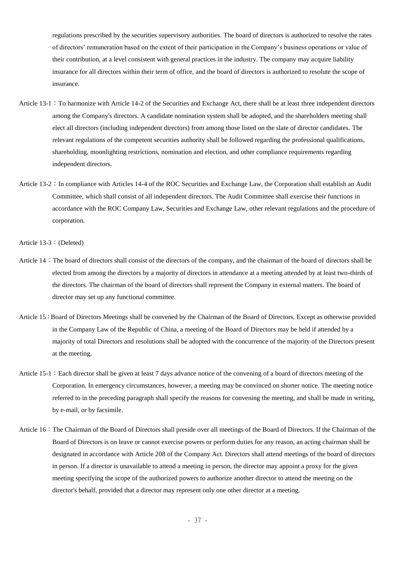regulations prescribed by the securities supervisory authorities. The board of directors is authorized to resolve the rates of directors' remuneration based on the extent of their participation in the Company's business operations or value of their contribution, at a level consistent with general practices in the industry. The company may acquire liability insurance for all directors within their term of office, and the board of directors is authorized to resolute the scope of insurance.

- Article 13-1: To harmonize with Article 14-2 of the Securities and Exchange Act, there shall be at least three independent directors among the Company's directors. A candidate nomination system shall be adopted, and the shareholders meeting shall elect all directors (including independent directors) from among those listed on the slate of director candidates. The relevant regulations of the competent securities authority shall be followed regarding the professional qualifications, shareholding, moonlighting restrictions, nomination and election, and other compliance requirements regarding independent directors.
- Article 13-2: In compliance with Articles 14-4 of the ROC Securities and Exchange Law, the Corporation shall establish an Audit Committee, which shall consist of all independent directors. The Audit Committee shall exercise their functions in accordance with the ROC Company Law, Securities and Exchange Law, other relevant regulations and the procedure of corporation.

Article 13-3: (Deleted)

- Article 14: The board of directors shall consist of the directors of the company, and the chairman of the board of directors shall be elected from among the directors by a majority of directors in attendance at a meeting attended by at least two-thirds of the directors. The chairman of the board of directors shall represent the Company in external matters. The board of director may set up any functional committee.
- Article 15: Board of Directors Meetings shall be convened by the Chairman of the Board of Directors. Except as otherwise provided in the Company Law of the Republic of China, a meeting of the Board of Directors may be held if attended by a majority of total Directors and resolutions shall be adopted with the concurrence of the majority of the Directors present at the meeting.
- Article  $15-1$ : Each director shall be given at least 7 days advance notice of the convening of a board of directors meeting of the Corporation. In emergency circumstances, however, a meeting may be convinced on shorter notice. The meeting notice referred to in the preceding paragraph shall specify the reasons for convening the meeting, and shall be made in writing, by e-mail, or by facsimile.
- Article 16:The Chairman of the Board of Directors shall preside over all meetings of the Board of Directors. If the Chairman of the Board of Directors is on leave or cannot exercise powers or perform duties for any reason, an acting chairman shall be designated in accordance with Article 208 of the Company Act. Directors shall attend meetings of the board of directors in person. If a director is unavailable to attend a meeting in person, the director may appoint a proxy for the given meeting specifying the scope of the authorized powers to authorize another director to attend the meeting on the director's behalf, provided that a director may represent only one other director at a meeting.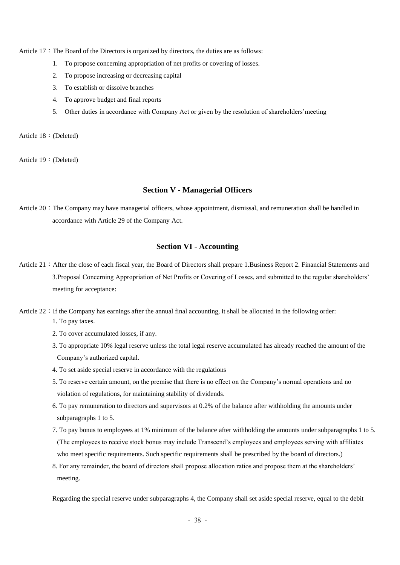Article  $17:$  The Board of the Directors is organized by directors, the duties are as follows:

- 1. To propose concerning appropriation of net profits or covering of losses.
- 2. To propose increasing or decreasing capital
- 3. To establish or dissolve branches
- 4. To approve budget and final reports
- 5. Other duties in accordance with Company Act or given by the resolution of shareholders'meeting

Article 18:(Deleted)

Article 19:(Deleted)

#### **Section V - Managerial Officers**

Article 20: The Company may have managerial officers, whose appointment, dismissal, and remuneration shall be handled in accordance with Article 29 of the Company Act.

## **Section VI - Accounting**

- Article 21: After the close of each fiscal year, the Board of Directors shall prepare 1.Business Report 2. Financial Statements and 3.Proposal Concerning Appropriation of Net Profits or Covering of Losses, and submitted to the regular shareholders' meeting for acceptance:
- Article  $22:$  If the Company has earnings after the annual final accounting, it shall be allocated in the following order:
	- 1. To pay taxes.
	- 2. To cover accumulated losses, if any.
	- 3. To appropriate 10% legal reserve unless the total legal reserve accumulated has already reached the amount of the Company's authorized capital.
	- 4. To set aside special reserve in accordance with the regulations
	- 5. To reserve certain amount, on the premise that there is no effect on the Company's normal operations and no violation of regulations, for maintaining stability of dividends.
	- 6. To pay remuneration to directors and supervisors at 0.2% of the balance after withholding the amounts under subparagraphs 1 to 5.
	- 7. To pay bonus to employees at 1% minimum of the balance after withholding the amounts under subparagraphs 1 to 5. (The employees to receive stock bonus may include Transcend's employees and employees serving with affiliates who meet specific requirements. Such specific requirements shall be prescribed by the board of directors.)
	- 8. For any remainder, the board of directors shall propose allocation ratios and propose them at the shareholders' meeting.

Regarding the special reserve under subparagraphs 4, the Company shall set aside special reserve, equal to the debit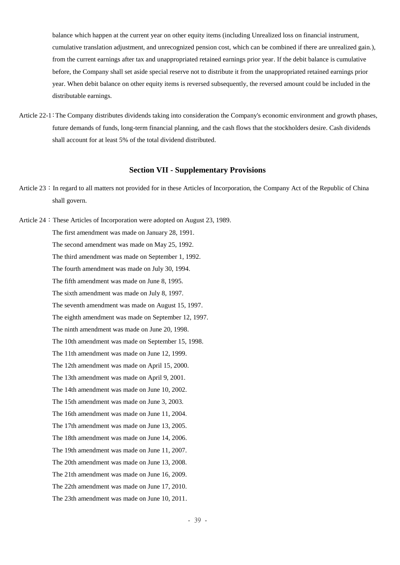balance which happen at the current year on other equity items (including Unrealized loss on financial instrument, cumulative translation adjustment, and unrecognized pension cost, which can be combined if there are unrealized gain.), from the current earnings after tax and unappropriated retained earnings prior year. If the debit balance is cumulative before, the Company shall set aside special reserve not to distribute it from the unappropriated retained earnings prior year. When debit balance on other equity items is reversed subsequently, the reversed amount could be included in the distributable earnings.

Article 22-1:The Company distributes dividends taking into consideration the Company's economic environment and growth phases, future demands of funds, long-term financial planning, and the cash flows that the stockholders desire. Cash dividends shall account for at least 5% of the total dividend distributed.

## **Section VII - Supplementary Provisions**

Article 23: In regard to all matters not provided for in these Articles of Incorporation, the Company Act of the Republic of China shall govern.

Article 24: These Articles of Incorporation were adopted on August 23, 1989. The first amendment was made on January 28, 1991. The second amendment was made on May 25, 1992. The third amendment was made on September 1, 1992. The fourth amendment was made on July 30, 1994. The fifth amendment was made on June 8, 1995. The sixth amendment was made on July 8, 1997. The seventh amendment was made on August 15, 1997. The eighth amendment was made on September 12, 1997. The ninth amendment was made on June 20, 1998. The 10th amendment was made on September 15, 1998. The 11th amendment was made on June 12, 1999. The 12th amendment was made on April 15, 2000. The 13th amendment was made on April 9, 2001. The 14th amendment was made on June 10, 2002. The 15th amendment was made on June 3, 2003. The 16th amendment was made on June 11, 2004. The 17th amendment was made on June 13, 2005. The 18th amendment was made on June 14, 2006. The 19th amendment was made on June 11, 2007. The 20th amendment was made on June 13, 2008. The 21th amendment was made on June 16, 2009. The 22th amendment was made on June 17, 2010. The 23th amendment was made on June 10, 2011.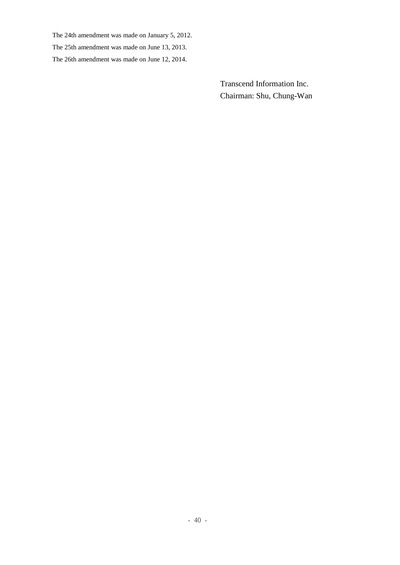The 24th amendment was made on January 5, 2012.

The 25th amendment was made on June 13, 2013.

The 26th amendment was made on June 12, 2014.

Transcend Information Inc. Chairman: Shu, Chung-Wan